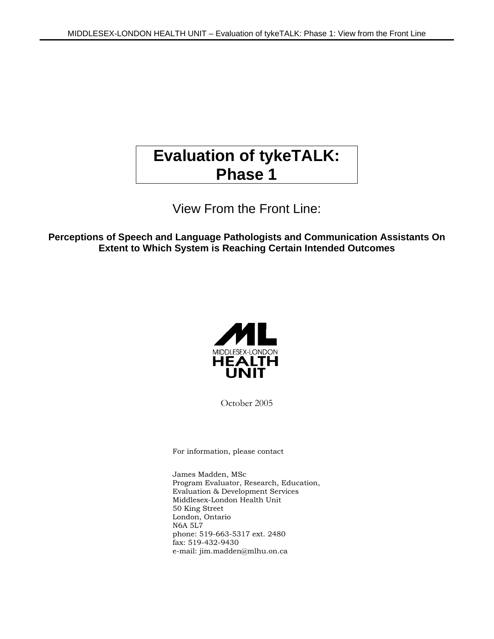# **Evaluation of tykeTALK: Phase 1**

View From the Front Line:

**Perceptions of Speech and Language Pathologists and Communication Assistants On Extent to Which System is Reaching Certain Intended Outcomes**



October 2005

For information, please contact

James Madden, MSc Program Evaluator, Research, Education, Evaluation & Development Services Middlesex-London Health Unit 50 King Street London, Ontario N6A 5L7 phone: 519-663-5317 ext. 2480 fax: 519-432-9430 e-mail: jim.madden@mlhu.on.ca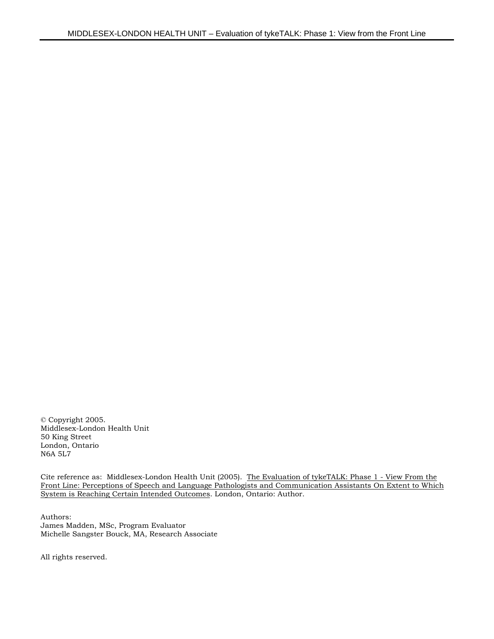© Copyright 2005. Middlesex-London Health Unit 50 King Street London, Ontario N6A 5L7

Cite reference as: Middlesex-London Health Unit (2005). The Evaluation of tykeTALK: Phase 1 - View From the Front Line: Perceptions of Speech and Language Pathologists and Communication Assistants On Extent to Which System is Reaching Certain Intended Outcomes. London, Ontario: Author.

Authors: James Madden, MSc, Program Evaluator Michelle Sangster Bouck, MA, Research Associate

All rights reserved.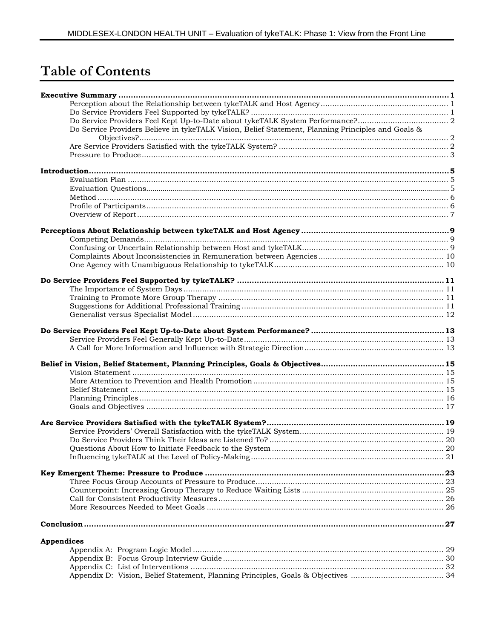# **Table of Contents**

| Do Service Providers Believe in tykeTALK Vision, Belief Statement, Planning Principles and Goals & |  |
|----------------------------------------------------------------------------------------------------|--|
|                                                                                                    |  |
|                                                                                                    |  |
|                                                                                                    |  |
|                                                                                                    |  |
|                                                                                                    |  |
|                                                                                                    |  |
|                                                                                                    |  |
|                                                                                                    |  |
|                                                                                                    |  |
|                                                                                                    |  |
|                                                                                                    |  |
|                                                                                                    |  |
|                                                                                                    |  |
|                                                                                                    |  |
|                                                                                                    |  |
|                                                                                                    |  |
|                                                                                                    |  |
|                                                                                                    |  |
|                                                                                                    |  |
|                                                                                                    |  |
|                                                                                                    |  |
|                                                                                                    |  |
|                                                                                                    |  |
|                                                                                                    |  |
|                                                                                                    |  |
|                                                                                                    |  |
|                                                                                                    |  |
|                                                                                                    |  |
|                                                                                                    |  |
|                                                                                                    |  |
|                                                                                                    |  |
|                                                                                                    |  |
|                                                                                                    |  |
|                                                                                                    |  |
|                                                                                                    |  |
|                                                                                                    |  |
|                                                                                                    |  |
|                                                                                                    |  |
|                                                                                                    |  |
|                                                                                                    |  |
|                                                                                                    |  |
|                                                                                                    |  |
| <b>Appendices</b>                                                                                  |  |
|                                                                                                    |  |
|                                                                                                    |  |
|                                                                                                    |  |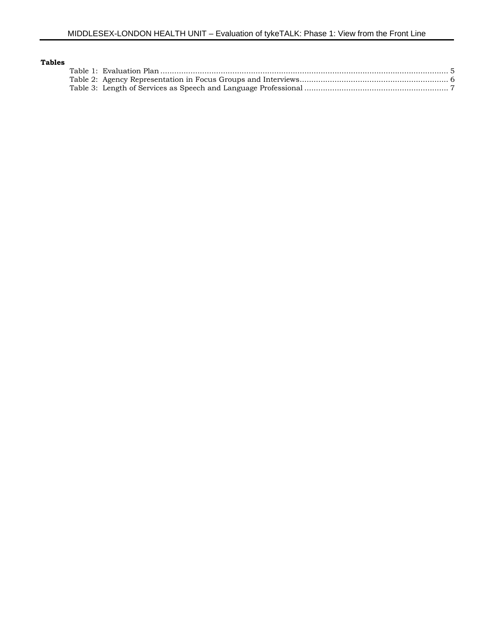| Tables |  |  |
|--------|--|--|
|        |  |  |
|        |  |  |
|        |  |  |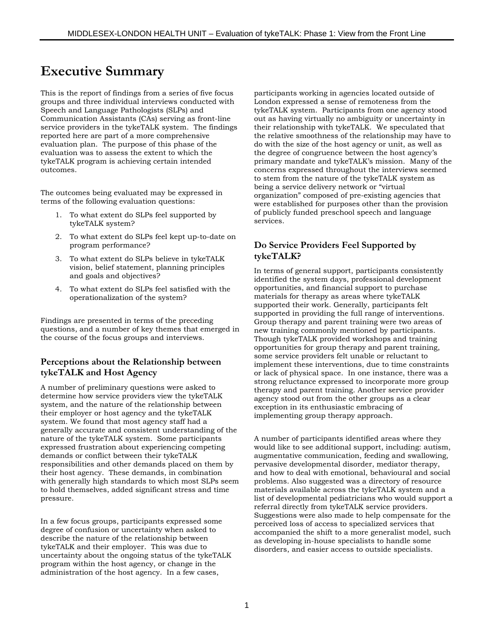# **Executive Summary**

This is the report of findings from a series of five focus groups and three individual interviews conducted with Speech and Language Pathologists (SLPs) and Communication Assistants (CAs) serving as front-line service providers in the tykeTALK system. The findings reported here are part of a more comprehensive evaluation plan. The purpose of this phase of the evaluation was to assess the extent to which the tykeTALK program is achieving certain intended outcomes.

The outcomes being evaluated may be expressed in terms of the following evaluation questions:

- 1. To what extent do SLPs feel supported by tykeTALK system?
- 2. To what extent do SLPs feel kept up-to-date on program performance?
- 3. To what extent do SLPs believe in tykeTALK vision, belief statement, planning principles and goals and objectives?
- 4. To what extent do SLPs feel satisfied with the operationalization of the system?

Findings are presented in terms of the preceding questions, and a number of key themes that emerged in the course of the focus groups and interviews.

### **Perceptions about the Relationship between tykeTALK and Host Agency**

A number of preliminary questions were asked to determine how service providers view the tykeTALK system, and the nature of the relationship between their employer or host agency and the tykeTALK system. We found that most agency staff had a generally accurate and consistent understanding of the nature of the tykeTALK system. Some participants expressed frustration about experiencing competing demands or conflict between their tykeTALK responsibilities and other demands placed on them by their host agency. These demands, in combination with generally high standards to which most SLPs seem to hold themselves, added significant stress and time pressure.

In a few focus groups, participants expressed some degree of confusion or uncertainty when asked to describe the nature of the relationship between tykeTALK and their employer. This was due to uncertainty about the ongoing status of the tykeTALK program within the host agency, or change in the administration of the host agency. In a few cases,

participants working in agencies located outside of London expressed a sense of remoteness from the tykeTALK system. Participants from one agency stood out as having virtually no ambiguity or uncertainty in their relationship with tykeTALK. We speculated that the relative smoothness of the relationship may have to do with the size of the host agency or unit, as well as the degree of congruence between the host agency's primary mandate and tykeTALK's mission. Many of the concerns expressed throughout the interviews seemed to stem from the nature of the tykeTALK system as being a service delivery network or "virtual organization" composed of pre-existing agencies that were established for purposes other than the provision of publicly funded preschool speech and language services.

### **Do Service Providers Feel Supported by tykeTALK?**

In terms of general support, participants consistently identified the system days, professional development opportunities, and financial support to purchase materials for therapy as areas where tykeTALK supported their work. Generally, participants felt supported in providing the full range of interventions. Group therapy and parent training were two areas of new training commonly mentioned by participants. Though tykeTALK provided workshops and training opportunities for group therapy and parent training, some service providers felt unable or reluctant to implement these interventions, due to time constraints or lack of physical space. In one instance, there was a strong reluctance expressed to incorporate more group therapy and parent training. Another service provider agency stood out from the other groups as a clear exception in its enthusiastic embracing of implementing group therapy approach.

A number of participants identified areas where they would like to see additional support, including: autism, augmentative communication, feeding and swallowing, pervasive developmental disorder, mediator therapy, and how to deal with emotional, behavioural and social problems. Also suggested was a directory of resource materials available across the tykeTALK system and a list of developmental pediatricians who would support a referral directly from tykeTALK service providers. Suggestions were also made to help compensate for the perceived loss of access to specialized services that accompanied the shift to a more generalist model, such as developing in-house specialists to handle some disorders, and easier access to outside specialists.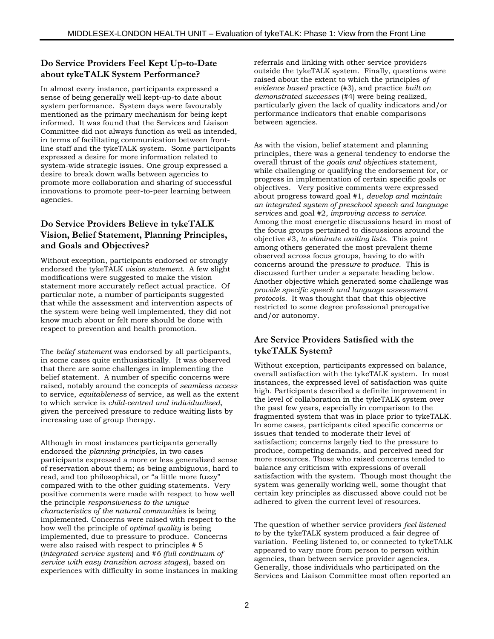### **Do Service Providers Feel Kept Up-to-Date about tykeTALK System Performance?**

In almost every instance, participants expressed a sense of being generally well kept-up-to date about system performance. System days were favourably mentioned as the primary mechanism for being kept informed. It was found that the Services and Liaison Committee did not always function as well as intended, in terms of facilitating communication between frontline staff and the tykeTALK system. Some participants expressed a desire for more information related to system-wide strategic issues. One group expressed a desire to break down walls between agencies to promote more collaboration and sharing of successful innovations to promote peer-to-peer learning between agencies.

### **Do Service Providers Believe in tykeTALK Vision, Belief Statement, Planning Principles, and Goals and Objectives?**

Without exception, participants endorsed or strongly endorsed the tykeTALK *vision statement*. A few slight modifications were suggested to make the vision statement more accurately reflect actual practice. Of particular note, a number of participants suggested that while the assessment and intervention aspects of the system were being well implemented, they did not know much about or felt more should be done with respect to prevention and health promotion.

The *belief statement* was endorsed by all participants, in some cases quite enthusiastically. It was observed that there are some challenges in implementing the belief statement. A number of specific concerns were raised, notably around the concepts of *seamless access* to service, *equitableness* of service, as well as the extent to which service is *child-centred and individualized*, given the perceived pressure to reduce waiting lists by increasing use of group therapy.

Although in most instances participants generally endorsed the *planning principles*, in two cases participants expressed a more or less generalized sense of reservation about them; as being ambiguous, hard to read, and too philosophical, or "a little more fuzzy" compared with to the other guiding statements. Very positive comments were made with respect to how well the principle *responsiveness to the unique characteristics of the natural communities* is being implemented. Concerns were raised with respect to the how well the principle of *optimal quality* is being implemented, due to pressure to produce. Concerns were also raised with respect to principles # 5 (*integrated service system*) and #*6 (full continuum of service with easy transition across stages*), based on experiences with difficulty in some instances in making

referrals and linking with other service providers outside the tykeTALK system. Finally, questions were raised about the extent to which the principles *of evidence based* practice (#3), and practice *built on demonstrated successes* (#4) were being realized, particularly given the lack of quality indicators and/or performance indicators that enable comparisons between agencies.

As with the vision, belief statement and planning principles, there was a general tendency to endorse the overall thrust of the *goals and objectives* statement, while challenging or qualifying the endorsement for, or progress in implementation of certain specific goals or objectives. Very positive comments were expressed about progress toward goal #1, *develop and maintain an integrated system of preschool speech and language services* and goal #2, *improving access to service*. Among the most energetic discussions heard in most of the focus groups pertained to discussions around the objective #3, *to eliminate waiting lists.* This point among others generated the most prevalent theme observed across focus groups, having to do with concerns around the p*ressure to produce*. This is discussed further under a separate heading below. Another objective which generated some challenge was *provide specific speech and language assessment protocols*. It was thought that that this objective restricted to some degree professional prerogative and/or autonomy.

### **Are Service Providers Satisfied with the tykeTALK System?**

Without exception, participants expressed on balance, overall satisfaction with the tykeTALK system. In most instances, the expressed level of satisfaction was quite high. Participants described a definite improvement in the level of collaboration in the tykeTALK system over the past few years, especially in comparison to the fragmented system that was in place prior to tykeTALK. In some cases, participants cited specific concerns or issues that tended to moderate their level of satisfaction; concerns largely tied to the pressure to produce, competing demands, and perceived need for more resources. Those who raised concerns tended to balance any criticism with expressions of overall satisfaction with the system. Though most thought the system was generally working well, some thought that certain key principles as discussed above could not be adhered to given the current level of resources.

The question of whether service providers *feel listened to* by the tykeTALK system produced a fair degree of variation. Feeling listened to, or connected to tykeTALK appeared to vary more from person to person within agencies, than between service provider agencies. Generally, those individuals who participated on the Services and Liaison Committee most often reported an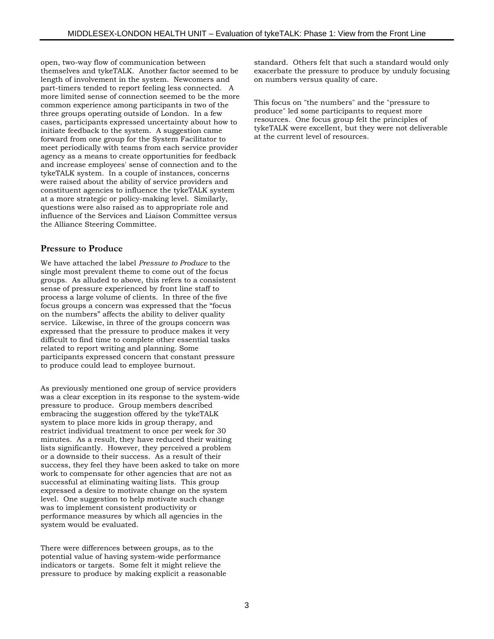open, two-way flow of communication between themselves and tykeTALK. Another factor seemed to be length of involvement in the system. Newcomers and part-timers tended to report feeling less connected. A more limited sense of connection seemed to be the more common experience among participants in two of the three groups operating outside of London. In a few cases, participants expressed uncertainty about how to initiate feedback to the system. A suggestion came forward from one group for the System Facilitator to meet periodically with teams from each service provider agency as a means to create opportunities for feedback and increase employees' sense of connection and to the tykeTALK system. In a couple of instances, concerns were raised about the ability of service providers and constituent agencies to influence the tykeTALK system at a more strategic or policy-making level. Similarly, questions were also raised as to appropriate role and influence of the Services and Liaison Committee versus the Alliance Steering Committee.

#### **Pressure to Produce**

We have attached the label *Pressure to Produce* to the single most prevalent theme to come out of the focus groups. As alluded to above, this refers to a consistent sense of pressure experienced by front line staff to process a large volume of clients. In three of the five focus groups a concern was expressed that the "focus on the numbers" affects the ability to deliver quality service. Likewise, in three of the groups concern was expressed that the pressure to produce makes it very difficult to find time to complete other essential tasks related to report writing and planning. Some participants expressed concern that constant pressure to produce could lead to employee burnout.

As previously mentioned one group of service providers was a clear exception in its response to the system-wide pressure to produce. Group members described embracing the suggestion offered by the tykeTALK system to place more kids in group therapy, and restrict individual treatment to once per week for 30 minutes. As a result, they have reduced their waiting lists significantly. However, they perceived a problem or a downside to their success. As a result of their success, they feel they have been asked to take on more work to compensate for other agencies that are not as successful at eliminating waiting lists. This group expressed a desire to motivate change on the system level. One suggestion to help motivate such change was to implement consistent productivity or performance measures by which all agencies in the system would be evaluated.

There were differences between groups, as to the potential value of having system-wide performance indicators or targets. Some felt it might relieve the pressure to produce by making explicit a reasonable standard. Others felt that such a standard would only exacerbate the pressure to produce by unduly focusing on numbers versus quality of care.

This focus on "the numbers" and the "pressure to produce" led some participants to request more resources. One focus group felt the principles of tykeTALK were excellent, but they were not deliverable at the current level of resources.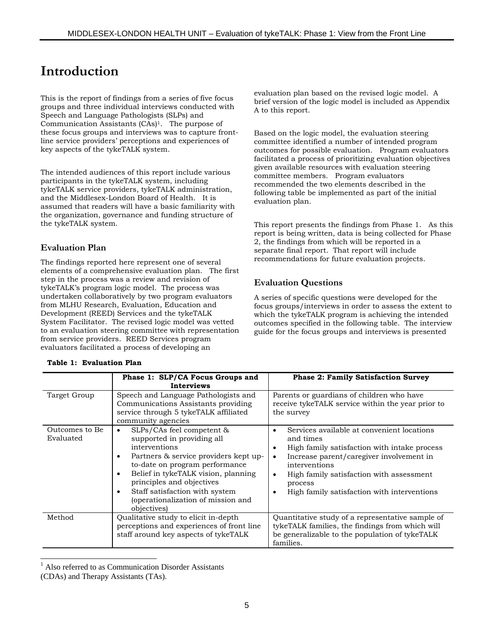# **Introduction**

This is the report of findings from a series of five focus groups and three individual interviews conducted with Speech and Language Pathologists (SLPs) and Communication Assistants (CAs)1. The purpose of these focus groups and interviews was to capture frontline service providers' perceptions and experiences of key aspects of the tykeTALK system.

The intended audiences of this report include various participants in the tykeTALK system, including tykeTALK service providers, tykeTALK administration, and the Middlesex-London Board of Health. It is assumed that readers will have a basic familiarity with the organization, governance and funding structure of the tykeTALK system.

### **Evaluation Plan**

The findings reported here represent one of several elements of a comprehensive evaluation plan. The first step in the process was a review and revision of tykeTALK's program logic model. The process was undertaken collaboratively by two program evaluators from MLHU Research, Evaluation, Education and Development (REED) Services and the tykeTALK System Facilitator. The revised logic model was vetted to an evaluation steering committee with representation from service providers. REED Services program evaluators facilitated a process of developing an

#### **Table 1: Evaluation Plan**

evaluation plan based on the revised logic model. A brief version of the logic model is included as Appendix A to this report.

Based on the logic model, the evaluation steering committee identified a number of intended program outcomes for possible evaluation. Program evaluators facilitated a process of prioritizing evaluation objectives given available resources with evaluation steering committee members. Program evaluators recommended the two elements described in the following table be implemented as part of the initial evaluation plan.

This report presents the findings from Phase 1. As this report is being written, data is being collected for Phase 2, the findings from which will be reported in a separate final report. That report will include recommendations for future evaluation projects.

#### **Evaluation Questions**

A series of specific questions were developed for the focus groups/interviews in order to assess the extent to which the tykeTALK program is achieving the intended outcomes specified in the following table. The interview guide for the focus groups and interviews is presented

|                             | Phase 1: SLP/CA Focus Groups and<br><b>Interviews</b>                                                                                                                                                                                                                                                          | <b>Phase 2: Family Satisfaction Survey</b>                                                                                                                                                                                                                                                                                  |  |
|-----------------------------|----------------------------------------------------------------------------------------------------------------------------------------------------------------------------------------------------------------------------------------------------------------------------------------------------------------|-----------------------------------------------------------------------------------------------------------------------------------------------------------------------------------------------------------------------------------------------------------------------------------------------------------------------------|--|
| Target Group                | Speech and Language Pathologists and<br>Communications Assistants providing<br>service through 5 tykeTALK affiliated<br>community agencies                                                                                                                                                                     | Parents or guardians of children who have<br>receive tykeTALK service within the year prior to<br>the survey                                                                                                                                                                                                                |  |
| Outcomes to Be<br>Evaluated | SLPs/CAs feel competent &<br>supported in providing all<br>interventions<br>Partners & service providers kept up-<br>to-date on program performance<br>Belief in tykeTALK vision, planning<br>principles and objectives<br>Staff satisfaction with system<br>(operationalization of mission and<br>objectives) | Services available at convenient locations<br>$\bullet$<br>and times<br>High family satisfaction with intake process<br>٠<br>Increase parent/caregiver involvement in<br>$\bullet$<br>interventions<br>High family satisfaction with assessment<br>$\bullet$<br>process<br>High family satisfaction with interventions<br>٠ |  |
| Method                      | Qualitative study to elicit in-depth<br>perceptions and experiences of front line<br>staff around key aspects of tykeTALK                                                                                                                                                                                      | Quantitative study of a representative sample of<br>tykeTALK families, the findings from which will<br>be generalizable to the population of tykeTALK<br>families.                                                                                                                                                          |  |

<sup>1</sup> Also referred to as Communication Disorder Assistants

l

<sup>(</sup>CDAs) and Therapy Assistants (TAs).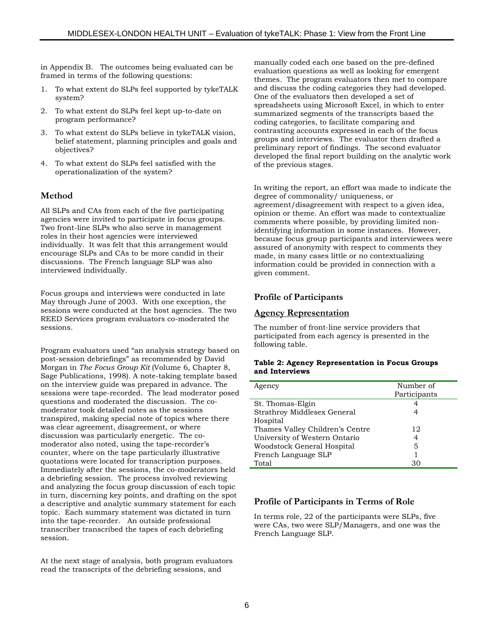in Appendix B. The outcomes being evaluated can be framed in terms of the following questions:

- 1. To what extent do SLPs feel supported by tykeTALK system?
- 2. To what extent do SLPs feel kept up-to-date on program performance?
- 3. To what extent do SLPs believe in tykeTALK vision, belief statement, planning principles and goals and objectives?
- 4. To what extent do SLPs feel satisfied with the operationalization of the system?

### **Method**

All SLPs and CAs from each of the five participating agencies were invited to participate in focus groups. Two front-line SLPs who also serve in management roles in their host agencies were interviewed individually. It was felt that this arrangement would encourage SLPs and CAs to be more candid in their discussions. The French language SLP was also interviewed individually.

Focus groups and interviews were conducted in late May through June of 2003. With one exception, the sessions were conducted at the host agencies. The two REED Services program evaluators co-moderated the sessions.

Program evaluators used "an analysis strategy based on post-session debriefings" as recommended by David Morgan in *The Focus Group Kit* (Volume 6, Chapter 8, Sage Publications, 1998). A note-taking template based on the interview guide was prepared in advance. The sessions were tape-recorded. The lead moderator posed questions and moderated the discussion. The comoderator took detailed notes as the sessions transpired, making special note of topics where there was clear agreement, disagreement, or where discussion was particularly energetic. The comoderator also noted, using the tape-recorder's counter, where on the tape particularly illustrative quotations were located for transcription purposes. Immediately after the sessions, the co-moderators held a debriefing session. The process involved reviewing and analyzing the focus group discussion of each topic in turn, discerning key points, and drafting on the spot a descriptive and analytic summary statement for each topic. Each summary statement was dictated in turn into the tape-recorder. An outside professional transcriber transcribed the tapes of each debriefing session.

At the next stage of analysis, both program evaluators read the transcripts of the debriefing sessions, and

manually coded each one based on the pre-defined evaluation questions as well as looking for emergent themes. The program evaluators then met to compare and discuss the coding categories they had developed. One of the evaluators then developed a set of spreadsheets using Microsoft Excel, in which to enter summarized segments of the transcripts based the coding categories, to facilitate comparing and contrasting accounts expressed in each of the focus groups and interviews. The evaluator then drafted a preliminary report of findings. The second evaluator developed the final report building on the analytic work of the previous stages.

In writing the report, an effort was made to indicate the degree of commonality/ uniqueness, or agreement/disagreement with respect to a given idea, opinion or theme. An effort was made to contextualize comments where possible, by providing limited nonidentifying information in some instances. However, because focus group participants and interviewees were assured of anonymity with respect to comments they made, in many cases little or no contextualizing information could be provided in connection with a given comment.

#### **Profile of Participants**

#### **Agency Representation**

The number of front-line service providers that participated from each agency is presented in the following table.

#### **Table 2: Agency Representation in Focus Groups and Interviews**

| Agency                          | Number of<br>Participants |
|---------------------------------|---------------------------|
| St. Thomas-Elgin                |                           |
| Strathroy Middlesex General     |                           |
| Hospital                        |                           |
| Thames Valley Children's Centre | 12                        |
| University of Western Ontario   | 4                         |
| Woodstock General Hospital      | 5                         |
| French Language SLP             |                           |
| Total                           | 30                        |

### **Profile of Participants in Terms of Role**

In terms role, 22 of the participants were SLPs, five were CAs, two were SLP/Managers, and one was the French Language SLP.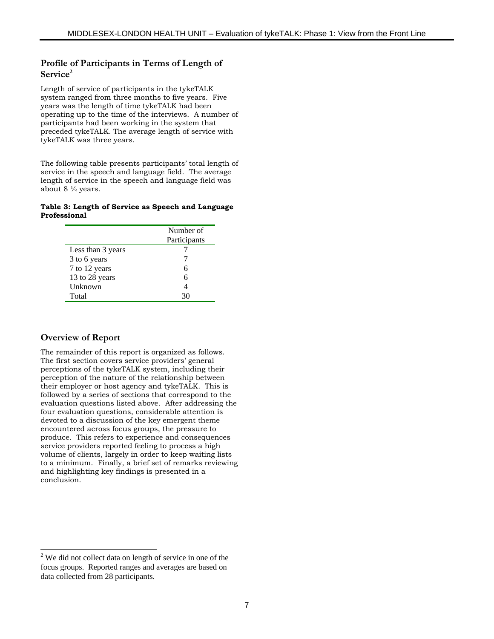#### **Profile of Participants in Terms of Length of** Service<sup>2</sup>

Length of service of participants in the tykeTALK system ranged from three months to five years. Five years was the length of time tykeTALK had been operating up to the time of the interviews. A number of participants had been working in the system that preceded tykeTALK. The average length of service with tykeTALK was three years.

The following table presents participants' total length of service in the speech and language field. The average length of service in the speech and language field was about 8 ½ years.

#### **Table 3: Length of Service as Speech and Language Professional**

|                   | Number of<br>Participants |
|-------------------|---------------------------|
| Less than 3 years |                           |
| 3 to 6 years      |                           |
| 7 to 12 years     | 6                         |
| 13 to 28 years    | 6                         |
| Unknown           |                           |
| Total             |                           |

### **Overview of Report**

The remainder of this report is organized as follows. The first section covers service providers' general perceptions of the tykeTALK system, including their perception of the nature of the relationship between their employer or host agency and tykeTALK. This is followed by a series of sections that correspond to the evaluation questions listed above. After addressing the four evaluation questions, considerable attention is devoted to a discussion of the key emergent theme encountered across focus groups, the pressure to produce. This refers to experience and consequences service providers reported feeling to process a high volume of clients, largely in order to keep waiting lists to a minimum. Finally, a brief set of remarks reviewing and highlighting key findings is presented in a conclusion.

<sup>&</sup>lt;sup>2</sup> We did not collect data on length of service in one of the focus groups. Reported ranges and averages are based on data collected from 28 participants.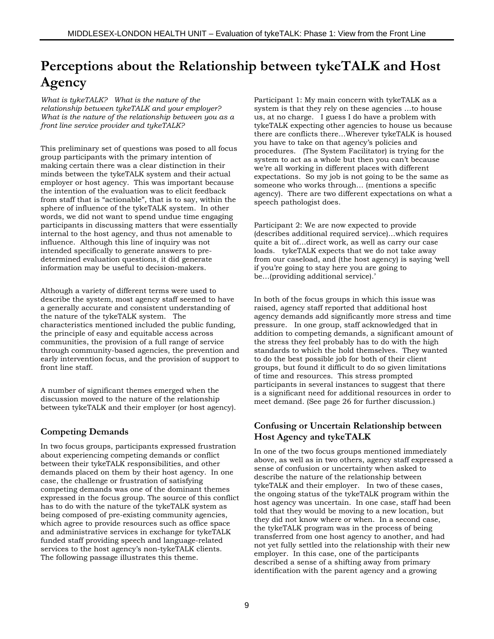# **Perceptions about the Relationship between tykeTALK and Host Agency**

*What is tykeTALK? What is the nature of the relationship between tykeTALK and your employer? What is the nature of the relationship between you as a front line service provider and tykeTALK?*

This preliminary set of questions was posed to all focus group participants with the primary intention of making certain there was a clear distinction in their minds between the tykeTALK system and their actual employer or host agency. This was important because the intention of the evaluation was to elicit feedback from staff that is "actionable", that is to say, within the sphere of influence of the tykeTALK system. In other words, we did not want to spend undue time engaging participants in discussing matters that were essentially internal to the host agency, and thus not amenable to influence. Although this line of inquiry was not intended specifically to generate answers to predetermined evaluation questions, it did generate information may be useful to decision-makers.

Although a variety of different terms were used to describe the system, most agency staff seemed to have a generally accurate and consistent understanding of the nature of the tykeTALK system. The characteristics mentioned included the public funding, the principle of easy and equitable access across communities, the provision of a full range of service through community-based agencies, the prevention and early intervention focus, and the provision of support to front line staff.

A number of significant themes emerged when the discussion moved to the nature of the relationship between tykeTALK and their employer (or host agency).

### **Competing Demands**

In two focus groups, participants expressed frustration about experiencing competing demands or conflict between their tykeTALK responsibilities, and other demands placed on them by their host agency. In one case, the challenge or frustration of satisfying competing demands was one of the dominant themes expressed in the focus group. The source of this conflict has to do with the nature of the tykeTALK system as being composed of pre-existing community agencies, which agree to provide resources such as office space and administrative services in exchange for tykeTALK funded staff providing speech and language-related services to the host agency's non-tykeTALK clients. The following passage illustrates this theme.

Participant 1: My main concern with tykeTALK as a system is that they rely on these agencies …to house us, at no charge. I guess I do have a problem with tykeTALK expecting other agencies to house us because there are conflicts there…Wherever tykeTALK is housed you have to take on that agency's policies and procedures. (The System Facilitator) is trying for the system to act as a whole but then you can't because we're all working in different places with different expectations. So my job is not going to be the same as someone who works through… (mentions a specific agency). There are two different expectations on what a speech pathologist does.

Participant 2: We are now expected to provide (describes additional required service)…which requires quite a bit of…direct work, as well as carry our case loads. tykeTALK expects that we do not take away from our caseload, and (the host agency) is saying 'well if you're going to stay here you are going to be…(providing additional service).'

In both of the focus groups in which this issue was raised, agency staff reported that additional host agency demands add significantly more stress and time pressure. In one group, staff acknowledged that in addition to competing demands, a significant amount of the stress they feel probably has to do with the high standards to which the hold themselves. They wanted to do the best possible job for both of their client groups, but found it difficult to do so given limitations of time and resources. This stress prompted participants in several instances to suggest that there is a significant need for additional resources in order to meet demand. (See page 26 for further discussion.)

### **Confusing or Uncertain Relationship between Host Agency and tykeTALK**

In one of the two focus groups mentioned immediately above, as well as in two others, agency staff expressed a sense of confusion or uncertainty when asked to describe the nature of the relationship between tykeTALK and their employer. In two of these cases, the ongoing status of the tykeTALK program within the host agency was uncertain. In one case, staff had been told that they would be moving to a new location, but they did not know where or when. In a second case, the tykeTALK program was in the process of being transferred from one host agency to another, and had not yet fully settled into the relationship with their new employer. In this case, one of the participants described a sense of a shifting away from primary identification with the parent agency and a growing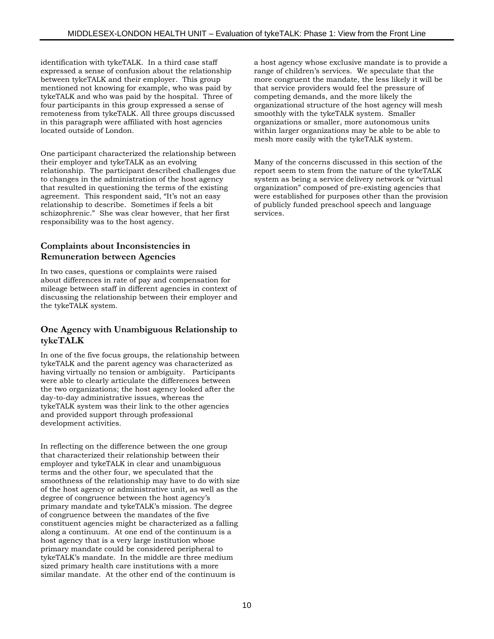identification with tykeTALK. In a third case staff expressed a sense of confusion about the relationship between tykeTALK and their employer. This group mentioned not knowing for example, who was paid by tykeTALK and who was paid by the hospital. Three of four participants in this group expressed a sense of remoteness from tykeTALK. All three groups discussed in this paragraph were affiliated with host agencies located outside of London.

One participant characterized the relationship between their employer and tykeTALK as an evolving relationship. The participant described challenges due to changes in the administration of the host agency that resulted in questioning the terms of the existing agreement. This respondent said, "It's not an easy relationship to describe. Sometimes if feels a bit schizophrenic." She was clear however, that her first responsibility was to the host agency.

### **Complaints about Inconsistencies in Remuneration between Agencies**

In two cases, questions or complaints were raised about differences in rate of pay and compensation for mileage between staff in different agencies in context of discussing the relationship between their employer and the tykeTALK system.

#### **One Agency with Unambiguous Relationship to tykeTALK**

In one of the five focus groups, the relationship between tykeTALK and the parent agency was characterized as having virtually no tension or ambiguity. Participants were able to clearly articulate the differences between the two organizations; the host agency looked after the day-to-day administrative issues, whereas the tykeTALK system was their link to the other agencies and provided support through professional development activities.

In reflecting on the difference between the one group that characterized their relationship between their employer and tykeTALK in clear and unambiguous terms and the other four, we speculated that the smoothness of the relationship may have to do with size of the host agency or administrative unit, as well as the degree of congruence between the host agency's primary mandate and tykeTALK's mission. The degree of congruence between the mandates of the five constituent agencies might be characterized as a falling along a continuum. At one end of the continuum is a host agency that is a very large institution whose primary mandate could be considered peripheral to tykeTALK's mandate. In the middle are three medium sized primary health care institutions with a more similar mandate. At the other end of the continuum is

a host agency whose exclusive mandate is to provide a range of children's services. We speculate that the more congruent the mandate, the less likely it will be that service providers would feel the pressure of competing demands, and the more likely the organizational structure of the host agency will mesh smoothly with the tykeTALK system. Smaller organizations or smaller, more autonomous units within larger organizations may be able to be able to mesh more easily with the tykeTALK system.

Many of the concerns discussed in this section of the report seem to stem from the nature of the tykeTALK system as being a service delivery network or "virtual organization" composed of pre-existing agencies that were established for purposes other than the provision of publicly funded preschool speech and language services.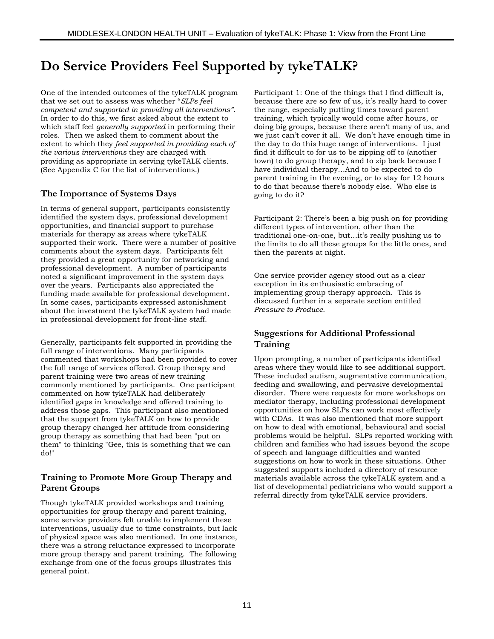# **Do Service Providers Feel Supported by tykeTALK?**

One of the intended outcomes of the tykeTALK program that we set out to assess was whether "*SLPs feel competent and supported in providing all interventions"*. In order to do this, we first asked about the extent to which staff feel *generally supported* in performing their roles. Then we asked them to comment about the extent to which they *feel supported in providing each of the various interventions* they are charged with providing as appropriate in serving tykeTALK clients. (See Appendix C for the list of interventions.)

### **The Importance of Systems Days**

In terms of general support, participants consistently identified the system days, professional development opportunities, and financial support to purchase materials for therapy as areas where tykeTALK supported their work. There were a number of positive comments about the system days. Participants felt they provided a great opportunity for networking and professional development. A number of participants noted a significant improvement in the system days over the years. Participants also appreciated the funding made available for professional development. In some cases, participants expressed astonishment about the investment the tykeTALK system had made in professional development for front-line staff.

Generally, participants felt supported in providing the full range of interventions. Many participants commented that workshops had been provided to cover the full range of services offered. Group therapy and parent training were two areas of new training commonly mentioned by participants. One participant commented on how tykeTALK had deliberately identified gaps in knowledge and offered training to address those gaps. This participant also mentioned that the support from tykeTALK on how to provide group therapy changed her attitude from considering group therapy as something that had been "put on them" to thinking "Gee, this is something that we can do!"

### **Training to Promote More Group Therapy and Parent Groups**

Though tykeTALK provided workshops and training opportunities for group therapy and parent training, some service providers felt unable to implement these interventions, usually due to time constraints, but lack of physical space was also mentioned. In one instance, there was a strong reluctance expressed to incorporate more group therapy and parent training. The following exchange from one of the focus groups illustrates this general point.

Participant 1: One of the things that I find difficult is, because there are so few of us, it's really hard to cover the range, especially putting times toward parent training, which typically would come after hours, or doing big groups, because there aren't many of us, and we just can't cover it all. We don't have enough time in the day to do this huge range of interventions. I just find it difficult to for us to be zipping off to (another town) to do group therapy, and to zip back because I have individual therapy…And to be expected to do parent training in the evening, or to stay for 12 hours to do that because there's nobody else. Who else is going to do it?

Participant 2: There's been a big push on for providing different types of intervention, other than the traditional one-on-one, but…it's really pushing us to the limits to do all these groups for the little ones, and then the parents at night.

One service provider agency stood out as a clear exception in its enthusiastic embracing of implementing group therapy approach. This is discussed further in a separate section entitled *Pressure to Produce*.

### **Suggestions for Additional Professional Training**

Upon prompting, a number of participants identified areas where they would like to see additional support. These included autism, augmentative communication, feeding and swallowing, and pervasive developmental disorder. There were requests for more workshops on mediator therapy, including professional development opportunities on how SLPs can work most effectively with CDAs. It was also mentioned that more support on how to deal with emotional, behavioural and social problems would be helpful. SLPs reported working with children and families who had issues beyond the scope of speech and language difficulties and wanted suggestions on how to work in these situations. Other suggested supports included a directory of resource materials available across the tykeTALK system and a list of developmental pediatricians who would support a referral directly from tykeTALK service providers.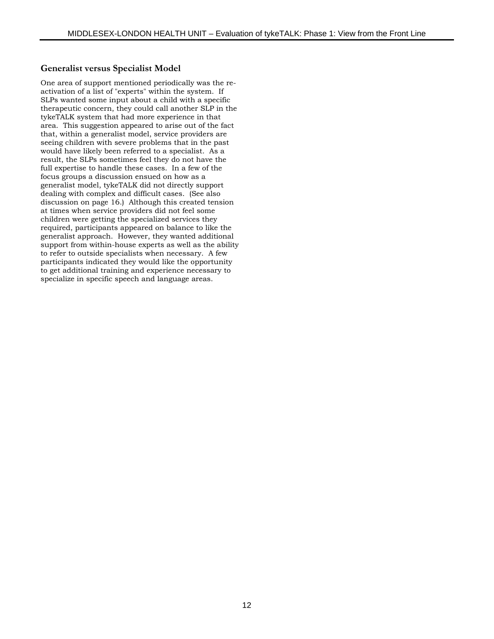### **Generalist versus Specialist Model**

One area of support mentioned periodically was the reactivation of a list of "experts" within the system. If SLPs wanted some input about a child with a specific therapeutic concern, they could call another SLP in the tykeTALK system that had more experience in that area. This suggestion appeared to arise out of the fact that, within a generalist model, service providers are seeing children with severe problems that in the past would have likely been referred to a specialist. As a result, the SLPs sometimes feel they do not have the full expertise to handle these cases. In a few of the focus groups a discussion ensued on how as a generalist model, tykeTALK did not directly support dealing with complex and difficult cases. (See also discussion on page 16.) Although this created tension at times when service providers did not feel some children were getting the specialized services they required, participants appeared on balance to like the generalist approach. However, they wanted additional support from within-house experts as well as the ability to refer to outside specialists when necessary. A few participants indicated they would like the opportunity to get additional training and experience necessary to specialize in specific speech and language areas.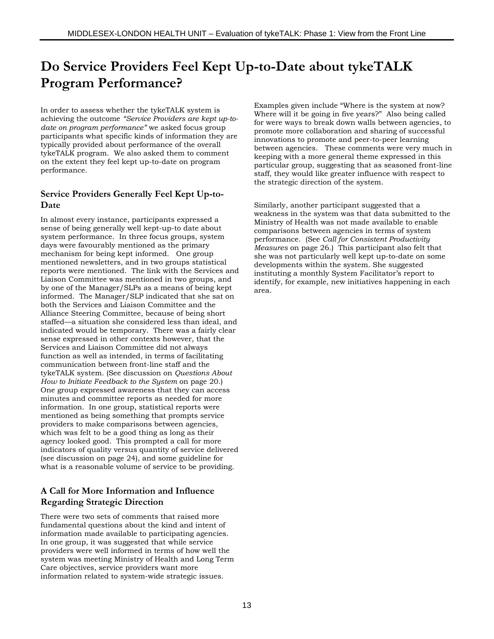# **Do Service Providers Feel Kept Up-to-Date about tykeTALK Program Performance?**

In order to assess whether the tykeTALK system is achieving the outcome *"Service Providers are kept up-todate on program performance"* we asked focus group participants what specific kinds of information they are typically provided about performance of the overall tykeTALK program. We also asked them to comment on the extent they feel kept up-to-date on program performance.

#### **Service Providers Generally Feel Kept Up-to-Date**

In almost every instance, participants expressed a sense of being generally well kept-up-to date about system performance. In three focus groups, system days were favourably mentioned as the primary mechanism for being kept informed. One group mentioned newsletters, and in two groups statistical reports were mentioned. The link with the Services and Liaison Committee was mentioned in two groups, and by one of the Manager/SLPs as a means of being kept informed. The Manager/SLP indicated that she sat on both the Services and Liaison Committee and the Alliance Steering Committee, because of being short staffed—a situation she considered less than ideal, and indicated would be temporary. There was a fairly clear sense expressed in other contexts however, that the Services and Liaison Committee did not always function as well as intended, in terms of facilitating communication between front-line staff and the tykeTALK system. (See discussion on *Questions About How to Initiate Feedback to the System* on page 20.) One group expressed awareness that they can access minutes and committee reports as needed for more information. In one group, statistical reports were mentioned as being something that prompts service providers to make comparisons between agencies, which was felt to be a good thing as long as their agency looked good. This prompted a call for more indicators of quality versus quantity of service delivered (see discussion on page 24), and some guideline for what is a reasonable volume of service to be providing.

### **A Call for More Information and Influence Regarding Strategic Direction**

There were two sets of comments that raised more fundamental questions about the kind and intent of information made available to participating agencies. In one group, it was suggested that while service providers were well informed in terms of how well the system was meeting Ministry of Health and Long Term Care objectives, service providers want more information related to system-wide strategic issues.

Examples given include "Where is the system at now? Where will it be going in five years?" Also being called for were ways to break down walls between agencies, to promote more collaboration and sharing of successful innovations to promote and peer-to-peer learning between agencies. These comments were very much in keeping with a more general theme expressed in this particular group, suggesting that as seasoned front-line staff, they would like greater influence with respect to the strategic direction of the system.

Similarly, another participant suggested that a weakness in the system was that data submitted to the Ministry of Health was not made available to enable comparisons between agencies in terms of system performance. (See *Call for Consistent Productivity Measures* on page 26.) This participant also felt that she was not particularly well kept up-to-date on some developments within the system. She suggested instituting a monthly System Facilitator's report to identify, for example, new initiatives happening in each area.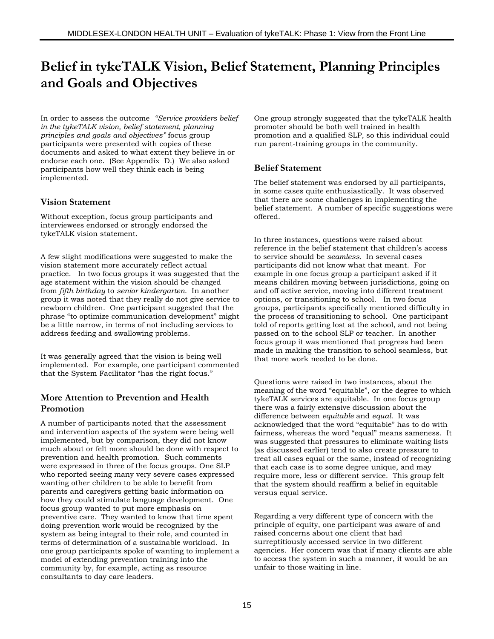# **Belief in tykeTALK Vision, Belief Statement, Planning Principles and Goals and Objectives**

In order to assess the outcome *"Service providers belief in the tykeTALK vision, belief statement, planning principles and goals and objectives"* focus group participants were presented with copies of these documents and asked to what extent they believe in or endorse each one. (See Appendix D.) We also asked participants how well they think each is being implemented.

### **Vision Statement**

Without exception, focus group participants and interviewees endorsed or strongly endorsed the tykeTALK vision statement.

A few slight modifications were suggested to make the vision statement more accurately reflect actual practice. In two focus groups it was suggested that the age statement within the vision should be changed from *fifth birthday* to *senior kindergarten*. In another group it was noted that they really do not give service to newborn children. One participant suggested that the phrase "to optimize communication development" might be a little narrow, in terms of not including services to address feeding and swallowing problems.

It was generally agreed that the vision is being well implemented. For example, one participant commented that the System Facilitator "has the right focus."

### **More Attention to Prevention and Health Promotion**

A number of participants noted that the assessment and intervention aspects of the system were being well implemented, but by comparison, they did not know much about or felt more should be done with respect to prevention and health promotion. Such comments were expressed in three of the focus groups. One SLP who reported seeing many very severe cases expressed wanting other children to be able to benefit from parents and caregivers getting basic information on how they could stimulate language development. One focus group wanted to put more emphasis on preventive care. They wanted to know that time spent doing prevention work would be recognized by the system as being integral to their role, and counted in terms of determination of a sustainable workload. In one group participants spoke of wanting to implement a model of extending prevention training into the community by, for example, acting as resource consultants to day care leaders.

One group strongly suggested that the tykeTALK health promoter should be both well trained in health promotion and a qualified SLP, so this individual could run parent-training groups in the community.

### **Belief Statement**

The belief statement was endorsed by all participants, in some cases quite enthusiastically. It was observed that there are some challenges in implementing the belief statement. A number of specific suggestions were offered.

In three instances, questions were raised about reference in the belief statement that children's access to service should be *seamless.* In several cases participants did not know what that meant. For example in one focus group a participant asked if it means children moving between jurisdictions, going on and off active service, moving into different treatment options, or transitioning to school. In two focus groups, participants specifically mentioned difficulty in the process of transitioning to school. One participant told of reports getting lost at the school, and not being passed on to the school SLP or teacher. In another focus group it was mentioned that progress had been made in making the transition to school seamless, but that more work needed to be done.

Questions were raised in two instances, about the meaning of the word "equitable", or the degree to which tykeTALK services are equitable. In one focus group there was a fairly extensive discussion about the difference between *equitable* and *equal*. It was acknowledged that the word "equitable" has to do with fairness, whereas the word "equal" means sameness. It was suggested that pressures to eliminate waiting lists (as discussed earlier) tend to also create pressure to treat all cases equal or the same, instead of recognizing that each case is to some degree unique, and may require more, less or different service. This group felt that the system should reaffirm a belief in equitable versus equal service.

Regarding a very different type of concern with the principle of equity, one participant was aware of and raised concerns about one client that had surreptitiously accessed service in two different agencies. Her concern was that if many clients are able to access the system in such a manner, it would be an unfair to those waiting in line.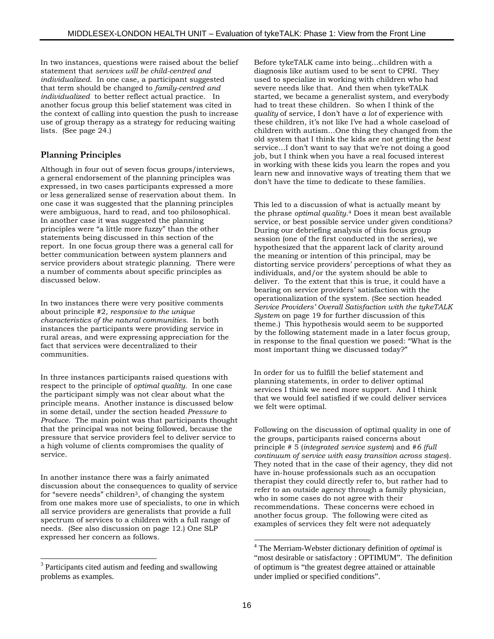In two instances, questions were raised about the belief statement that *services will be child-centred and individualized*. In one case, a participant suggested that term should be changed to *family-centred and individualized* to better reflect actual practice. In another focus group this belief statement was cited in the context of calling into question the push to increase use of group therapy as a strategy for reducing waiting lists. (See page 24.)

#### **Planning Principles**

Although in four out of seven focus groups/interviews, a general endorsement of the planning principles was expressed, in two cases participants expressed a more or less generalized sense of reservation about them. In one case it was suggested that the planning principles were ambiguous, hard to read, and too philosophical. In another case it was suggested the planning principles were "a little more fuzzy" than the other statements being discussed in this section of the report. In one focus group there was a general call for better communication between system planners and service providers about strategic planning. There were a number of comments about specific principles as discussed below.

In two instances there were very positive comments about principle #2*, responsive to the unique characteristics of the natural communities*. In both instances the participants were providing service in rural areas, and were expressing appreciation for the fact that services were decentralized to their communities.

In three instances participants raised questions with respect to the principle of *optimal quality.* In one case the participant simply was not clear about what the principle means. Another instance is discussed below in some detail, under the section headed *Pressure to Produce*. The main point was that participants thought that the principal was not being followed, because the pressure that service providers feel to deliver service to a high volume of clients compromises the quality of service.

In another instance there was a fairly animated discussion about the consequences to quality of service for "severe needs" children3, of changing the system from one makes more use of specialists, to one in which all service providers are generalists that provide a full spectrum of services to a children with a full range of needs. (See also discussion on page 12.) One SLP expressed her concern as follows.

l

Before tykeTALK came into being…children with a diagnosis like autism used to be sent to CPRI. They used to specialize in working with children who had severe needs like that. And then when tykeTALK started, we became a generalist system, and everybody had to treat these children. So when I think of the *quality* of service, I don't have *a lot* of experience with these children, it's not like I've had a whole caseload of children with autism…One thing they changed from the old system that I think the kids are not getting the *best* service…I don't want to say that we're not doing a good job, but I think when you have a real focused interest in working with these kids you learn the ropes and you learn new and innovative ways of treating them that we don't have the time to dedicate to these families.

This led to a discussion of what is actually meant by the phrase *optimal quality*.4 Does it mean best available service, or best possible service under given conditions? During our debriefing analysis of this focus group session (one of the first conducted in the series), we hypothesized that the apparent lack of clarity around the meaning or intention of this principal, may be distorting service providers' perceptions of what they as individuals, and/or the system should be able to deliver. To the extent that this is true, it could have a bearing on service providers' satisfaction with the operationalization of the system. (See section headed *Service Providers' Overall Satisfaction with the tykeTALK System* on page 19 for further discussion of this theme.) This hypothesis would seem to be supported by the following statement made in a later focus group, in response to the final question we posed: "What is the most important thing we discussed today?"

In order for us to fulfill the belief statement and planning statements, in order to deliver optimal services I think we need more support. And I think that we would feel satisfied if we could deliver services we felt were optimal.

Following on the discussion of optimal quality in one of the groups, participants raised concerns about principle # 5 (*integrated service system*) and #*6 (full continuum of service with easy transition across stages*). They noted that in the case of their agency, they did not have in-house professionals such as an occupation therapist they could directly refer to, but rather had to refer to an outside agency through a family physician, who in some cases do not agree with their recommendations. These concerns were echoed in another focus group. The following were cited as examples of services they felt were not adequately

 $\overline{a}$ 

<sup>&</sup>lt;sup>3</sup> Participants cited autism and feeding and swallowing problems as examples.

<sup>4</sup> The Merriam-Webster dictionary definition of *optimal* is "most desirable or satisfactory : OPTIMUM". The definition of optimum is "the greatest degree attained or attainable under implied or specified conditions".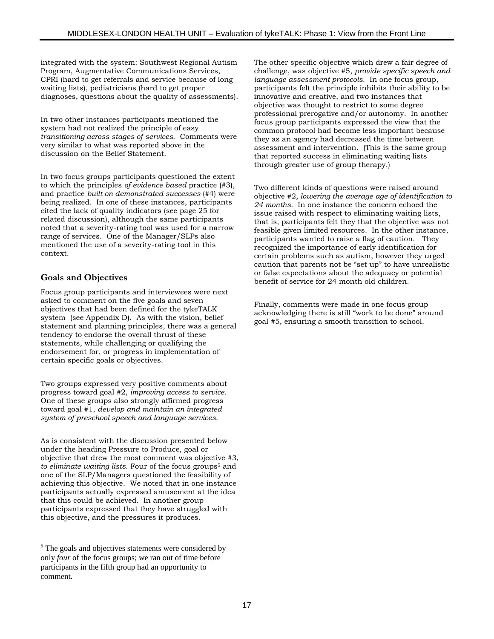integrated with the system: Southwest Regional Autism Program, Augmentative Communications Services, CPRI (hard to get referrals and service because of long waiting lists), pediatricians (hard to get proper diagnoses, questions about the quality of assessments).

In two other instances participants mentioned the system had not realized the principle of easy *transitioning across stages of services*. Comments were very similar to what was reported above in the discussion on the Belief Statement.

In two focus groups participants questioned the extent to which the principles *of evidence based* practice (#3), and practice *built on demonstrated successes* (#4) were being realized. In one of these instances, participants cited the lack of quality indicators (see page 25 for related discussion), although the same participants noted that a severity-rating tool was used for a narrow range of services. One of the Manager/SLPs also mentioned the use of a severity-rating tool in this context.

### **Goals and Objectives**

l

Focus group participants and interviewees were next asked to comment on the five goals and seven objectives that had been defined for the tykeTALK system (see Appendix D). As with the vision, belief statement and planning principles, there was a general tendency to endorse the overall thrust of these statements, while challenging or qualifying the endorsement for, or progress in implementation of certain specific goals or objectives.

Two groups expressed very positive comments about progress toward goal #2, *improving access to service*. One of these groups also strongly affirmed progress toward goal #1, *develop and maintain an integrated system of preschool speech and language services*.

As is consistent with the discussion presented below under the heading Pressure to Produce, goal or objective that drew the most comment was objective #3*, to eliminate waiting lists*. Four of the focus groups5 and one of the SLP/Managers questioned the feasibility of achieving this objective. We noted that in one instance participants actually expressed amusement at the idea that this could be achieved. In another group participants expressed that they have struggled with this objective, and the pressures it produces.

The other specific objective which drew a fair degree of challenge, was objective #5, *provide specific speech and language assessment protocols*. In one focus group, participants felt the principle inhibits their ability to be innovative and creative, and two instances that objective was thought to restrict to some degree professional prerogative and/or autonomy. In another focus group participants expressed the view that the common protocol had become less important because they as an agency had decreased the time between assessment and intervention. (This is the same group that reported success in eliminating waiting lists through greater use of group therapy.)

Two different kinds of questions were raised around objective #2*, lowering the average age of identification to 24 months*. In one instance the concern echoed the issue raised with respect to eliminating waiting lists, that is, participants felt they that the objective was not feasible given limited resources. In the other instance, participants wanted to raise a flag of caution. They recognized the importance of early identification for certain problems such as autism, however they urged caution that parents not be "set up" to have unrealistic or false expectations about the adequacy or potential benefit of service for 24 month old children.

Finally, comments were made in one focus group acknowledging there is still "work to be done" around goal #5, ensuring a smooth transition to school.

 $<sup>5</sup>$  The goals and objectives statements were considered by</sup> only *four* of the focus groups; we ran out of time before participants in the fifth group had an opportunity to comment.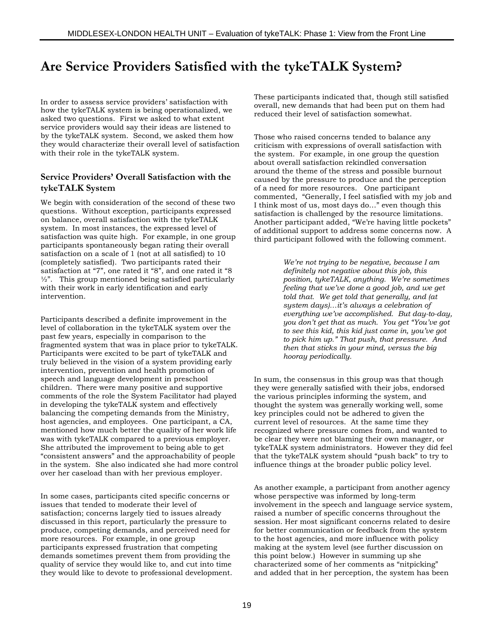# **Are Service Providers Satisfied with the tykeTALK System?**

In order to assess service providers' satisfaction with how the tykeTALK system is being operationalized, we asked two questions. First we asked to what extent service providers would say their ideas are listened to by the tykeTALK system. Second, we asked them how they would characterize their overall level of satisfaction with their role in the tykeTALK system.

#### **Service Providers' Overall Satisfaction with the tykeTALK System**

We begin with consideration of the second of these two questions. Without exception, participants expressed on balance, overall satisfaction with the tykeTALK system. In most instances, the expressed level of satisfaction was quite high. For example, in one group participants spontaneously began rating their overall satisfaction on a scale of 1 (not at all satisfied) to 10 (completely satisfied). Two participants rated their satisfaction at "7", one rated it "8", and one rated it "8 ½". This group mentioned being satisfied particularly with their work in early identification and early intervention.

Participants described a definite improvement in the level of collaboration in the tykeTALK system over the past few years, especially in comparison to the fragmented system that was in place prior to tykeTALK. Participants were excited to be part of tykeTALK and truly believed in the vision of a system providing early intervention, prevention and health promotion of speech and language development in preschool children. There were many positive and supportive comments of the role the System Facilitator had played in developing the tykeTALK system and effectively balancing the competing demands from the Ministry, host agencies, and employees. One participant, a CA, mentioned how much better the quality of her work life was with tykeTALK compared to a previous employer. She attributed the improvement to being able to get "consistent answers" and the approachability of people in the system. She also indicated she had more control over her caseload than with her previous employer.

In some cases, participants cited specific concerns or issues that tended to moderate their level of satisfaction; concerns largely tied to issues already discussed in this report, particularly the pressure to produce, competing demands, and perceived need for more resources. For example, in one group participants expressed frustration that competing demands sometimes prevent them from providing the quality of service they would like to, and cut into time they would like to devote to professional development. These participants indicated that, though still satisfied overall, new demands that had been put on them had reduced their level of satisfaction somewhat.

Those who raised concerns tended to balance any criticism with expressions of overall satisfaction with the system. For example, in one group the question about overall satisfaction rekindled conversation around the theme of the stress and possible burnout caused by the pressure to produce and the perception of a need for more resources. One participant commented, "Generally, I feel satisfied with my job and I think most of us, most days do…" even though this satisfaction is challenged by the resource limitations. Another participant added, "We're having little pockets" of additional support to address some concerns now. A third participant followed with the following comment.

> *We're not trying to be negative, because I am definitely not negative about this job, this position, tykeTALK, anything. We're sometimes feeling that we've done a good job, and we get told that. We get told that generally, and (at system days)…it's always a celebration of everything we've accomplished. But day-to-day, you don't get that as much. You get "You've got to see this kid, this kid just came in, you've got to pick him up." That push, that pressure. And then that sticks in your mind, versus the big hooray periodically.*

In sum, the consensus in this group was that though they were generally satisfied with their jobs, endorsed the various principles informing the system, and thought the system was generally working well, some key principles could not be adhered to given the current level of resources. At the same time they recognized where pressure comes from, and wanted to be clear they were not blaming their own manager, or tykeTALK system administrators. However they did feel that the tykeTALK system should "push back" to try to influence things at the broader public policy level.

As another example, a participant from another agency whose perspective was informed by long-term involvement in the speech and language service system, raised a number of specific concerns throughout the session. Her most significant concerns related to desire for better communication or feedback from the system to the host agencies, and more influence with policy making at the system level (see further discussion on this point below.) However in summing up she characterized some of her comments as "nitpicking" and added that in her perception, the system has been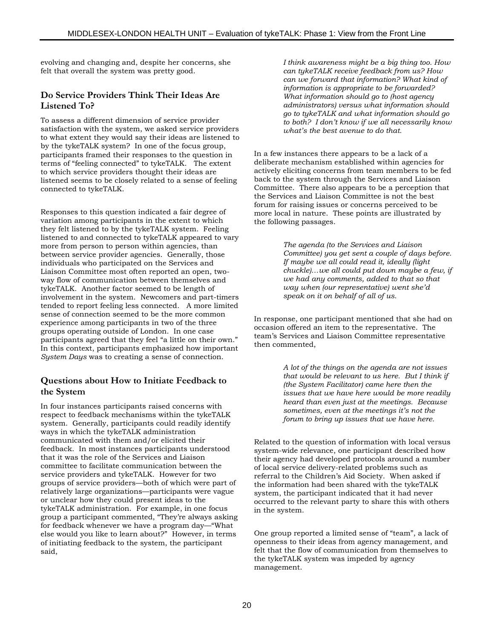evolving and changing and, despite her concerns, she felt that overall the system was pretty good.

#### **Do Service Providers Think Their Ideas Are Listened To?**

To assess a different dimension of service provider satisfaction with the system, we asked service providers to what extent they would say their ideas are listened to by the tykeTALK system? In one of the focus group, participants framed their responses to the question in terms of "feeling connected" to tykeTALK. The extent to which service providers thought their ideas are listened seems to be closely related to a sense of feeling connected to tykeTALK.

Responses to this question indicated a fair degree of variation among participants in the extent to which they felt listened to by the tykeTALK system. Feeling listened to and connected to tykeTALK appeared to vary more from person to person within agencies, than between service provider agencies. Generally, those individuals who participated on the Services and Liaison Committee most often reported an open, twoway flow of communication between themselves and tykeTALK. Another factor seemed to be length of involvement in the system. Newcomers and part-timers tended to report feeling less connected. A more limited sense of connection seemed to be the more common experience among participants in two of the three groups operating outside of London. In one case participants agreed that they feel "a little on their own." In this context, participants emphasized how important *System Days* was to creating a sense of connection.

#### **Questions about How to Initiate Feedback to the System**

In four instances participants raised concerns with respect to feedback mechanisms within the tykeTALK system. Generally, participants could readily identify ways in which the tykeTALK administration communicated with them and/or elicited their feedback. In most instances participants understood that it was the role of the Services and Liaison committee to facilitate communication between the service providers and tykeTALK. However for two groups of service providers—both of which were part of relatively large organizations—participants were vague or unclear how they could present ideas to the tykeTALK administration. For example, in one focus group a participant commented, "They're always asking for feedback whenever we have a program day—"What else would you like to learn about?" However, in terms of initiating feedback to the system, the participant said,

*I think awareness might be a big thing too. How can tykeTALK receive feedback from us? How can we forward that information? What kind of information is appropriate to be forwarded? What information should go to (host agency administrators) versus what information should go to tykeTALK and what information should go to both? I don't know if we all necessarily know what's the best avenue to do that.*

In a few instances there appears to be a lack of a deliberate mechanism established within agencies for actively eliciting concerns from team members to be fed back to the system through the Services and Liaison Committee. There also appears to be a perception that the Services and Liaison Committee is not the best forum for raising issues or concerns perceived to be more local in nature. These points are illustrated by the following passages.

> *The agenda (to the Services and Liaison Committee) you get sent a couple of days before. If maybe we all could read it, ideally (light chuckle)…we all could put down maybe a few, if we had any comments, added to that so that way when (our representative) went she'd speak on it on behalf of all of us.*

In response, one participant mentioned that she had on occasion offered an item to the representative. The team's Services and Liaison Committee representative then commented,

> *A lot of the things on the agenda are not issues that would be relevant to us here. But I think if (the System Facilitator) came here then the issues that we have here would be more readily heard than even just at the meetings. Because sometimes, even at the meetings it's not the forum to bring up issues that we have here.*

Related to the question of information with local versus system-wide relevance, one participant described how their agency had developed protocols around a number of local service delivery-related problems such as referral to the Children's Aid Society. When asked if the information had been shared with the tykeTALK system, the participant indicated that it had never occurred to the relevant party to share this with others in the system.

One group reported a limited sense of "team", a lack of openness to their ideas from agency management, and felt that the flow of communication from themselves to the tykeTALK system was impeded by agency management.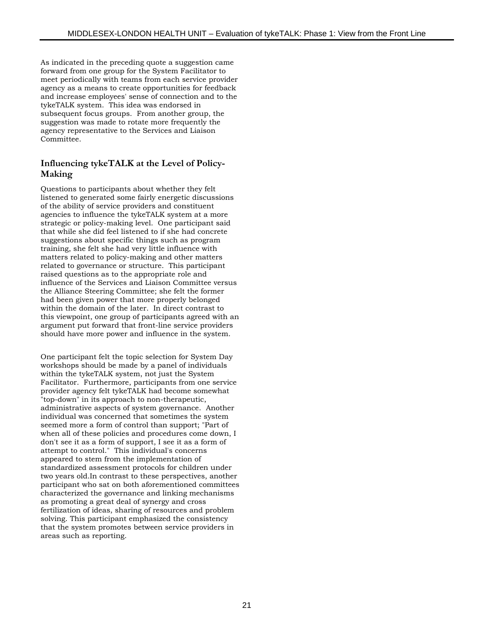As indicated in the preceding quote a suggestion came forward from one group for the System Facilitator to meet periodically with teams from each service provider agency as a means to create opportunities for feedback and increase employees' sense of connection and to the tykeTALK system. This idea was endorsed in subsequent focus groups. From another group, the suggestion was made to rotate more frequently the agency representative to the Services and Liaison Committee.

#### **Influencing tykeTALK at the Level of Policy-Making**

Questions to participants about whether they felt listened to generated some fairly energetic discussions of the ability of service providers and constituent agencies to influence the tykeTALK system at a more strategic or policy-making level. One participant said that while she did feel listened to if she had concrete suggestions about specific things such as program training, she felt she had very little influence with matters related to policy-making and other matters related to governance or structure. This participant raised questions as to the appropriate role and influence of the Services and Liaison Committee versus the Alliance Steering Committee; she felt the former had been given power that more properly belonged within the domain of the later. In direct contrast to this viewpoint, one group of participants agreed with an argument put forward that front-line service providers should have more power and influence in the system.

One participant felt the topic selection for System Day workshops should be made by a panel of individuals within the tykeTALK system, not just the System Facilitator. Furthermore, participants from one service provider agency felt tykeTALK had become somewhat "top-down" in its approach to non-therapeutic, administrative aspects of system governance. Another individual was concerned that sometimes the system seemed more a form of control than support; "Part of when all of these policies and procedures come down, I don't see it as a form of support, I see it as a form of attempt to control." This individual's concerns appeared to stem from the implementation of standardized assessment protocols for children under two years old.In contrast to these perspectives, another participant who sat on both aforementioned committees characterized the governance and linking mechanisms as promoting a great deal of synergy and cross fertilization of ideas, sharing of resources and problem solving. This participant emphasized the consistency that the system promotes between service providers in areas such as reporting.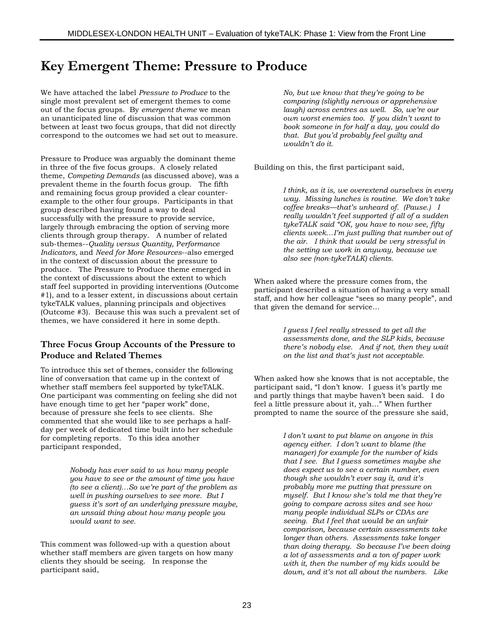# **Key Emergent Theme: Pressure to Produce**

We have attached the label *Pressure to Produce* to the single most prevalent set of emergent themes to come out of the focus groups. By *emergent theme* we mean an unanticipated line of discussion that was common between at least two focus groups, that did not directly correspond to the outcomes we had set out to measure.

Pressure to Produce was arguably the dominant theme in three of the five focus groups. A closely related theme, *Competing Demands* (as discussed above), was a prevalent theme in the fourth focus group. The fifth and remaining focus group provided a clear counterexample to the other four groups. Participants in that group described having found a way to deal successfully with the pressure to provide service, largely through embracing the option of serving more clients through group therapy. A number of related sub-themes--*Quality versus Quantity,* P*erformance Indicators,* and *Need for More Resources*--also emerged in the context of discussion about the pressure to produce. The Pressure to Produce theme emerged in the context of discussions about the extent to which staff feel supported in providing interventions (Outcome #1), and to a lesser extent, in discussions about certain tykeTALK values, planning principals and objectives (Outcome #3). Because this was such a prevalent set of themes, we have considered it here in some depth.

### **Three Focus Group Accounts of the Pressure to Produce and Related Themes**

To introduce this set of themes, consider the following line of conversation that came up in the context of whether staff members feel supported by tykeTALK. One participant was commenting on feeling she did not have enough time to get her "paper work" done, because of pressure she feels to see clients. She commented that she would like to see perhaps a halfday per week of dedicated time built into her schedule for completing reports. To this idea another participant responded,

> *Nobody has ever said to us how many people you have to see or the amount of time you have (to see a client)…So we're part of the problem as well in pushing ourselves to see more. But I guess it's sort of an underlying pressure maybe, an unsaid thing about how many people you would want to see.*

This comment was followed-up with a question about whether staff members are given targets on how many clients they should be seeing. In response the participant said,

*No, but we know that they're going to be comparing (slightly nervous or apprehensive laugh) across centres as well. So, we're our own worst enemies too. If you didn't want to book someone in for half a day, you could do that. But you'd probably feel guilty and wouldn't do it.*

Building on this, the first participant said,

*I think, as it is, we overextend ourselves in every way. Missing lunches is routine. We don't take coffee breaks—that's unheard of. (Pause.) I really wouldn't feel supported if all of a sudden tykeTALK said "OK, you have to now see, fifty clients week…I'm just pulling that number out of the air. I think that would be very stressful in the setting we work in anyway, because we also see (non-tykeTALK) clients.*

When asked where the pressure comes from, the participant described a situation of having a very small staff, and how her colleague "sees so many people", and that given the demand for service…

> *I guess I feel really stressed to get all the assessments done, and the SLP kids, because there's nobody else. And if not, then they wait on the list and that's just not acceptable.*

When asked how she knows that is not acceptable, the participant said, "I don't know. I guess it's partly me and partly things that maybe haven't been said. I do feel a little pressure about it, yah…" When further prompted to name the source of the pressure she said,

> *I don't want to put blame on anyone in this agency either. I don't want to blame (the manager) for example for the number of kids that I see. But I guess sometimes maybe she does expect us to see a certain number, even though she wouldn't ever say it, and it's probably more me putting that pressure on myself. But I know she's told me that they're going to compare across sites and see how many people individual SLPs or CDAs are seeing. But I feel that would be an unfair comparison, because certain assessments take longer than others. Assessments take longer than doing therapy. So because I've been doing a lot of assessments and a ton of paper work with it, then the number of my kids would be down, and it's not all about the numbers. Like*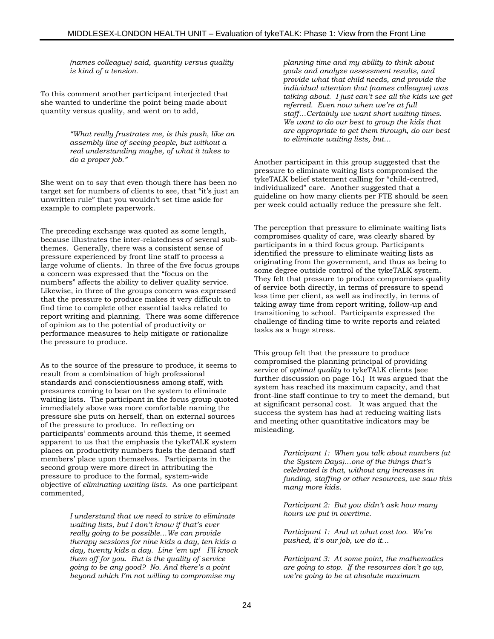*(names colleague) said, quantity versus quality is kind of a tension.*

To this comment another participant interjected that she wanted to underline the point being made about quantity versus quality, and went on to add,

> *"What really frustrates me, is this push, like an assembly line of seeing people, but without a real understanding maybe, of what it takes to do a proper job."*

She went on to say that even though there has been no target set for numbers of clients to see, that "it's just an unwritten rule" that you wouldn't set time aside for example to complete paperwork.

The preceding exchange was quoted as some length, because illustrates the inter-relatedness of several subthemes. Generally, there was a consistent sense of pressure experienced by front line staff to process a large volume of clients. In three of the five focus groups a concern was expressed that the "focus on the numbers" affects the ability to deliver quality service. Likewise, in three of the groups concern was expressed that the pressure to produce makes it very difficult to find time to complete other essential tasks related to report writing and planning. There was some difference of opinion as to the potential of productivity or performance measures to help mitigate or rationalize the pressure to produce.

As to the source of the pressure to produce, it seems to result from a combination of high professional standards and conscientiousness among staff, with pressures coming to bear on the system to eliminate waiting lists. The participant in the focus group quoted immediately above was more comfortable naming the pressure she puts on herself, than on external sources of the pressure to produce. In reflecting on participants' comments around this theme, it seemed apparent to us that the emphasis the tykeTALK system places on productivity numbers fuels the demand staff members' place upon themselves. Participants in the second group were more direct in attributing the pressure to produce to the formal, system-wide objective of *eliminating waiting lists*. As one participant commented,

> *I understand that we need to strive to eliminate waiting lists, but I don't know if that's ever really going to be possible…We can provide therapy sessions for nine kids a day, ten kids a day, twenty kids a day. Line 'em up! I'll knock them off for you. But is the quality of service going to be any good? No. And there's a point beyond which I'm not willing to compromise my*

*planning time and my ability to think about goals and analyze assessment results, and provide what that child needs, and provide the individual attention that (names colleague) was talking about. I just can't see all the kids we get referred. Even now when we're at full staff…Certainly we want short waiting times. We want to do our best to group the kids that are appropriate to get them through, do our best to eliminate waiting lists, but…*

Another participant in this group suggested that the pressure to eliminate waiting lists compromised the tykeTALK belief statement calling for "child-centred, individualized" care. Another suggested that a guideline on how many clients per FTE should be seen per week could actually reduce the pressure she felt.

The perception that pressure to eliminate waiting lists compromises quality of care, was clearly shared by participants in a third focus group. Participants identified the pressure to eliminate waiting lists as originating from the government, and thus as being to some degree outside control of the tykeTALK system. They felt that pressure to produce compromises quality of service both directly, in terms of pressure to spend less time per client, as well as indirectly, in terms of taking away time from report writing, follow-up and transitioning to school. Participants expressed the challenge of finding time to write reports and related tasks as a huge stress.

This group felt that the pressure to produce compromised the planning principal of providing service of *optimal quality* to tykeTALK clients (see further discussion on page 16.) It was argued that the system has reached its maximum capacity, and that front-line staff continue to try to meet the demand, but at significant personal cost. It was argued that the success the system has had at reducing waiting lists and meeting other quantitative indicators may be misleading.

> *Participant 1: When you talk about numbers (at the System Days)…one of the things that's celebrated is that, without any increases in funding, staffing or other resources, we saw this many more kids.*

*Participant 2: But you didn't ask how many hours we put in overtime.*

*Participant 1: And at what cost too. We're pushed, it's our job, we do it…*

*Participant 3: At some point, the mathematics are going to stop. If the resources don't go up, we're going to be at absolute maximum*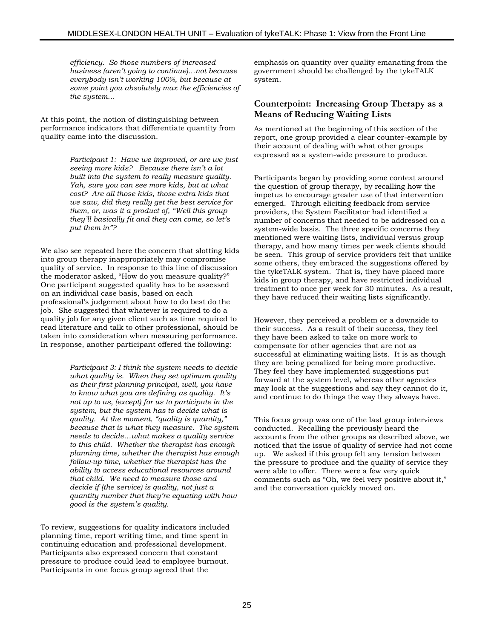*efficiency. So those numbers of increased business (aren't going to continue)…not because everybody isn't working 100%, but because at some point you absolutely max the efficiencies of the system…*

At this point, the notion of distinguishing between performance indicators that differentiate quantity from quality came into the discussion.

> *Participant 1: Have we improved, or are we just seeing more kids? Because there isn't a lot built into the system to really measure quality. Yah, sure you can see more kids, but at what cost? Are all those kids, those extra kids that we saw, did they really get the best service for them, or, was it a product of, "Well this group they'll basically fit and they can come, so let's put them in"?*

We also see repeated here the concern that slotting kids into group therapy inappropriately may compromise quality of service. In response to this line of discussion the moderator asked, "How do you measure quality?" One participant suggested quality has to be assessed on an individual case basis, based on each professional's judgement about how to do best do the job. She suggested that whatever is required to do a quality job for any given client such as time required to read literature and talk to other professional, should be taken into consideration when measuring performance. In response, another participant offered the following:

> *Participant 3: I think the system needs to decide what quality is. When they set optimum quality as their first planning principal, well, you have to know what you are defining as quality. It's not up to us, (except) for us to participate in the system, but the system has to decide what is quality. At the moment, "quality is quantity," because that is what they measure. The system needs to decide…what makes a quality service to this child. Whether the therapist has enough planning time, whether the therapist has enough follow-up time, whether the therapist has the ability to access educational resources around that child. We need to measure those and decide if (the service) is quality, not just a quantity number that they're equating with how good is the system's quality.*

To review, suggestions for quality indicators included planning time, report writing time, and time spent in continuing education and professional development. Participants also expressed concern that constant pressure to produce could lead to employee burnout. Participants in one focus group agreed that the

emphasis on quantity over quality emanating from the government should be challenged by the tykeTALK system.

#### **Counterpoint: Increasing Group Therapy as a Means of Reducing Waiting Lists**

As mentioned at the beginning of this section of the report, one group provided a clear counter-example by their account of dealing with what other groups expressed as a system-wide pressure to produce.

Participants began by providing some context around the question of group therapy, by recalling how the impetus to encourage greater use of that intervention emerged. Through eliciting feedback from service providers, the System Facilitator had identified a number of concerns that needed to be addressed on a system-wide basis. The three specific concerns they mentioned were waiting lists, individual versus group therapy, and how many times per week clients should be seen. This group of service providers felt that unlike some others, they embraced the suggestions offered by the tykeTALK system. That is, they have placed more kids in group therapy, and have restricted individual treatment to once per week for 30 minutes. As a result, they have reduced their waiting lists significantly.

However, they perceived a problem or a downside to their success. As a result of their success, they feel they have been asked to take on more work to compensate for other agencies that are not as successful at eliminating waiting lists. It is as though they are being penalized for being more productive. They feel they have implemented suggestions put forward at the system level, whereas other agencies may look at the suggestions and say they cannot do it, and continue to do things the way they always have.

This focus group was one of the last group interviews conducted. Recalling the previously heard the accounts from the other groups as described above, we noticed that the issue of quality of service had not come up. We asked if this group felt any tension between the pressure to produce and the quality of service they were able to offer. There were a few very quick comments such as "Oh, we feel very positive about it," and the conversation quickly moved on.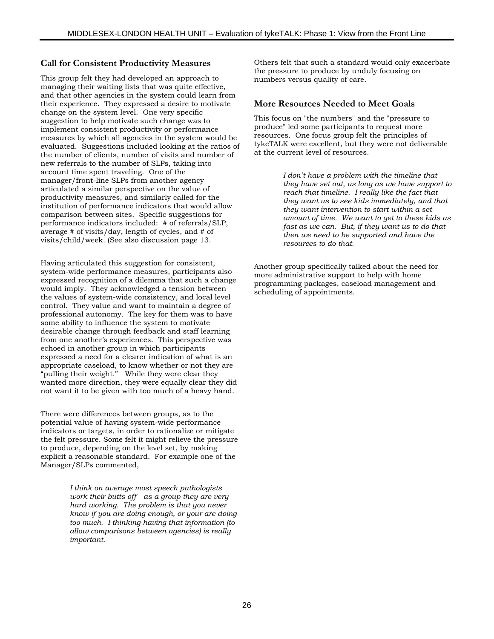#### **Call for Consistent Productivity Measures**

This group felt they had developed an approach to managing their waiting lists that was quite effective, and that other agencies in the system could learn from their experience. They expressed a desire to motivate change on the system level. One very specific suggestion to help motivate such change was to implement consistent productivity or performance measures by which all agencies in the system would be evaluated. Suggestions included looking at the ratios of the number of clients, number of visits and number of new referrals to the number of SLPs, taking into account time spent traveling. One of the manager/front-line SLPs from another agency articulated a similar perspective on the value of productivity measures, and similarly called for the institution of performance indicators that would allow comparison between sites. Specific suggestions for performance indicators included: # of referrals/SLP, average # of visits/day, length of cycles, and # of visits/child/week. (See also discussion page 13.

Having articulated this suggestion for consistent, system-wide performance measures, participants also expressed recognition of a dilemma that such a change would imply. They acknowledged a tension between the values of system-wide consistency, and local level control. They value and want to maintain a degree of professional autonomy. The key for them was to have some ability to influence the system to motivate desirable change through feedback and staff learning from one another's experiences. This perspective was echoed in another group in which participants expressed a need for a clearer indication of what is an appropriate caseload, to know whether or not they are "pulling their weight." While they were clear they wanted more direction, they were equally clear they did not want it to be given with too much of a heavy hand.

There were differences between groups, as to the potential value of having system-wide performance indicators or targets, in order to rationalize or mitigate the felt pressure. Some felt it might relieve the pressure to produce, depending on the level set, by making explicit a reasonable standard. For example one of the Manager/SLPs commented,

> *I think on average most speech pathologists work their butts off—as a group they are very hard working. The problem is that you never know if you are doing enough, or your are doing too much. I thinking having that information (to allow comparisons between agencies) is really important.*

Others felt that such a standard would only exacerbate the pressure to produce by unduly focusing on numbers versus quality of care.

#### **More Resources Needed to Meet Goals**

This focus on "the numbers" and the "pressure to produce" led some participants to request more resources. One focus group felt the principles of tykeTALK were excellent, but they were not deliverable at the current level of resources.

> *I don't have a problem with the timeline that they have set out, as long as we have support to reach that timeline. I really like the fact that they want us to see kids immediately, and that they want intervention to start within a set amount of time. We want to get to these kids as fast as we can. But, if they want us to do that then we need to be supported and have the resources to do that.*

Another group specifically talked about the need for more administrative support to help with home programming packages, caseload management and scheduling of appointments.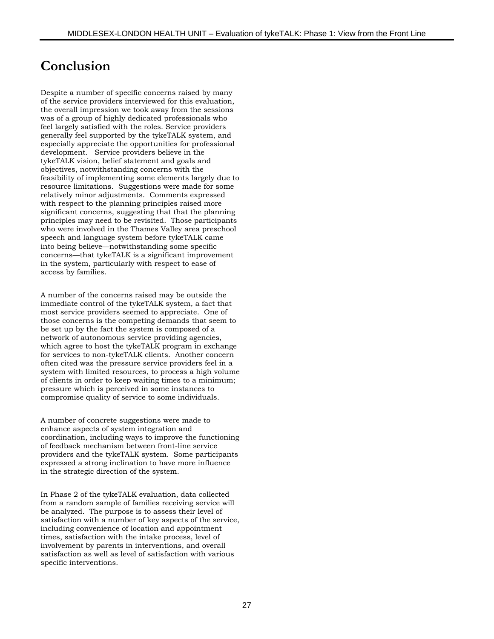# **Conclusion**

Despite a number of specific concerns raised by many of the service providers interviewed for this evaluation, the overall impression we took away from the sessions was of a group of highly dedicated professionals who feel largely satisfied with the roles. Service providers generally feel supported by the tykeTALK system, and especially appreciate the opportunities for professional development. Service providers believe in the tykeTALK vision, belief statement and goals and objectives, notwithstanding concerns with the feasibility of implementing some elements largely due to resource limitations. Suggestions were made for some relatively minor adjustments. Comments expressed with respect to the planning principles raised more significant concerns, suggesting that that the planning principles may need to be revisited. Those participants who were involved in the Thames Valley area preschool speech and language system before tykeTALK came into being believe—notwithstanding some specific concerns—that tykeTALK is a significant improvement in the system, particularly with respect to ease of access by families.

A number of the concerns raised may be outside the immediate control of the tykeTALK system, a fact that most service providers seemed to appreciate. One of those concerns is the competing demands that seem to be set up by the fact the system is composed of a network of autonomous service providing agencies, which agree to host the tykeTALK program in exchange for services to non-tykeTALK clients. Another concern often cited was the pressure service providers feel in a system with limited resources, to process a high volume of clients in order to keep waiting times to a minimum; pressure which is perceived in some instances to compromise quality of service to some individuals.

A number of concrete suggestions were made to enhance aspects of system integration and coordination, including ways to improve the functioning of feedback mechanism between front-line service providers and the tykeTALK system. Some participants expressed a strong inclination to have more influence in the strategic direction of the system.

In Phase 2 of the tykeTALK evaluation, data collected from a random sample of families receiving service will be analyzed. The purpose is to assess their level of satisfaction with a number of key aspects of the service, including convenience of location and appointment times, satisfaction with the intake process, level of involvement by parents in interventions, and overall satisfaction as well as level of satisfaction with various specific interventions.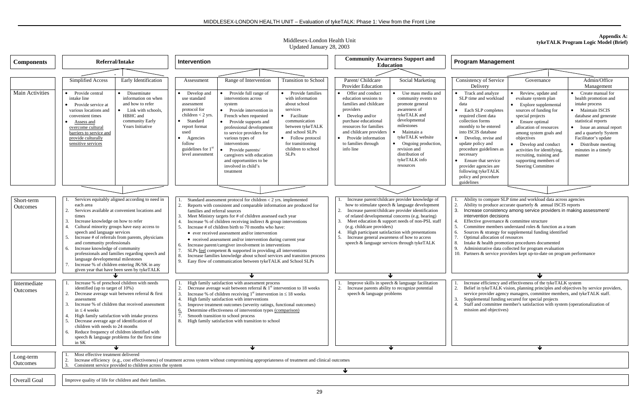Middlesex-London Health Unit Updated January 28, 2003

| <b>Components</b>        | Referral/Intake                                                                                                                                                                                                                                                                                                                                                                                                                                                                                                                                           | <b>Intervention</b>                                                                                                                                                                                                                                                                                                                                                                                                                                                                                                                                                                                                                                                                                                                                                              | <b>Community Awareness Support and</b><br><b>Education</b>                                                                                                                                                                                                                                                                                                                                                                                                                                                        | <b>Program Management</b>                                                                                                                                                                                                                                                                                                                                                                                                                                                                                                                                                                                                                                                                                                                                                                                                                                                                                                                                                                                       |  |
|--------------------------|-----------------------------------------------------------------------------------------------------------------------------------------------------------------------------------------------------------------------------------------------------------------------------------------------------------------------------------------------------------------------------------------------------------------------------------------------------------------------------------------------------------------------------------------------------------|----------------------------------------------------------------------------------------------------------------------------------------------------------------------------------------------------------------------------------------------------------------------------------------------------------------------------------------------------------------------------------------------------------------------------------------------------------------------------------------------------------------------------------------------------------------------------------------------------------------------------------------------------------------------------------------------------------------------------------------------------------------------------------|-------------------------------------------------------------------------------------------------------------------------------------------------------------------------------------------------------------------------------------------------------------------------------------------------------------------------------------------------------------------------------------------------------------------------------------------------------------------------------------------------------------------|-----------------------------------------------------------------------------------------------------------------------------------------------------------------------------------------------------------------------------------------------------------------------------------------------------------------------------------------------------------------------------------------------------------------------------------------------------------------------------------------------------------------------------------------------------------------------------------------------------------------------------------------------------------------------------------------------------------------------------------------------------------------------------------------------------------------------------------------------------------------------------------------------------------------------------------------------------------------------------------------------------------------|--|
|                          |                                                                                                                                                                                                                                                                                                                                                                                                                                                                                                                                                           |                                                                                                                                                                                                                                                                                                                                                                                                                                                                                                                                                                                                                                                                                                                                                                                  |                                                                                                                                                                                                                                                                                                                                                                                                                                                                                                                   |                                                                                                                                                                                                                                                                                                                                                                                                                                                                                                                                                                                                                                                                                                                                                                                                                                                                                                                                                                                                                 |  |
|                          | Early Identification<br>Simplified Access                                                                                                                                                                                                                                                                                                                                                                                                                                                                                                                 | <b>Transition</b> to School<br>Range of Intervention<br>Assessment                                                                                                                                                                                                                                                                                                                                                                                                                                                                                                                                                                                                                                                                                                               | Parent/ Childcare<br><b>Social Marketing</b><br>Provider Education                                                                                                                                                                                                                                                                                                                                                                                                                                                | Admin/Office<br>Consistency of Service<br>Governance<br>Delivery<br>Management                                                                                                                                                                                                                                                                                                                                                                                                                                                                                                                                                                                                                                                                                                                                                                                                                                                                                                                                  |  |
| Main Activities          | Provide central<br>• Disseminate<br>intake line<br>information on when<br>and how to refer<br>• Provide service at<br>various locations and<br>$\bullet$ Link with schools.<br>convenient times<br>HBHC and<br>community Early<br>Assess and<br>Years Initiative<br>overcome cultural<br>barriers to service and<br>provide culturally<br>sensitive services                                                                                                                                                                                              | Provide full range of<br>• Provide families<br>Develop and<br>with information<br>interventions across<br>use standard<br>about school<br>assessment<br>system<br>protocol for<br>services<br>• Provide intervention in<br>children $<$ 2 yrs.<br>French when requested<br>• Facilitate<br>Standard<br>communication<br>Provide supports and<br>report format<br>between tykeTALK<br>professional development<br>and school SLPs<br>used<br>to service providers for<br>various types of<br>• Follow protocol<br>Agencies<br>follow<br>for transitioning<br>interventions<br>guidelines for $1st$<br>children to school<br>Provide parents/<br><b>SLPs</b><br>level assessment<br>caregivers with education<br>and opportunities to be<br>involved in child's<br>treatment       | • Offer and conduct<br>Use mass media and<br>education sessions to<br>community events to<br>families and childcare<br>promote genera<br>providers<br>awareness of<br>tykeTALK and<br>$\bullet$ Develop and/or<br>developmental<br>purchase educational<br>milestones<br>resources for families<br>and childcare providers<br>Maintain a<br>tykeTALK website<br>• Provide information<br>to families through<br>Ongoing production,<br>info line<br>revision and<br>distribution of<br>tykeTALK info<br>resources | • Track and analyze<br>• Create manual for<br>Review, update and<br>health promotion and<br>SLP time and workload<br>evaluate system plan<br>intake process<br>data<br>• Explore supplemental<br>• Maintain ISCIS<br>• Each SLP completes<br>sources of funding for<br>database and generate<br>required client data<br>special projects<br>collection forms<br>statistical reports<br>• Ensure optimal<br>monthly to be entered<br>allocation of resources<br>• Issue an annual report<br>into ISCIS database<br>among system goals and<br>and a quarterly System<br>Facilitator's update<br>• Develop, revise and<br>objectives<br>update policy and<br>• Distribute meeting<br>• Develop and conduct<br>procedure guidelines as<br>activities for identifying,<br>minutes in a timely<br>necessary<br>recruiting, training and<br>manner<br>• Ensure that service<br>supporting members of<br>provider agencies are<br><b>Steering Committee</b><br>following tykeTALK<br>policy and procedure<br>guidelines |  |
|                          |                                                                                                                                                                                                                                                                                                                                                                                                                                                                                                                                                           |                                                                                                                                                                                                                                                                                                                                                                                                                                                                                                                                                                                                                                                                                                                                                                                  |                                                                                                                                                                                                                                                                                                                                                                                                                                                                                                                   |                                                                                                                                                                                                                                                                                                                                                                                                                                                                                                                                                                                                                                                                                                                                                                                                                                                                                                                                                                                                                 |  |
| Short-term<br>Outcomes   | Services equitably aligned according to need in<br>each area<br>Services available at convenient locations and<br>times<br>Increase knowledge on how to refer<br>Cultural minority groups have easy access to<br>speech and language services<br>Increase # of referrals from parents, physicians<br>and community professionals<br>Increase knowledge of community<br>professionals and families regarding speech and<br>language developmental milestones<br>Increase % of children entering JK/SK in any<br>given year that have been seen by tykeTALK | Standard assessment protocol for children $<$ 2 yrs. implemented<br>Reports with consistent and comparable information are produced for<br>2.<br>families and referral sources<br>Meet Ministry targets for # of children assessed each year<br>Increase % of children receiving indirect $\&$ group interventions<br>Increase # of children birth to 70 months who have:<br>.5.<br>• ever received assessment and/or intervention<br>• received assessment and/or intervention during current year<br>Increase parent/caregiver involvement in interventions<br>SLPs feel competent & supported in providing all interventions<br>Increase families knowledge about school services and transition process<br>9.<br>Easy flow of communication between tykeTALK and School SLPs | Increase parent/childcare provider knowledge of<br>how to stimulate speech & language development<br>Increase parent/childcare provider identification<br>of related developmental concerns (e.g. hearing)<br>Meet education & support needs of non-PSL staff<br>(e.g. childcare providers)<br>High participant satisfaction with presentations<br>Increase general awareness of how to access<br>speech & language services through tykeTALK                                                                     | Ability to compare SLP time and workload data across agencies<br>Ability to produce accurate quarterly & annual ISCIS reports<br>Increase consistency among service providers in making assessment/<br>3.<br>intervention decisions<br>Effective governance & committee structure<br>Committee members understand roles & function as a team<br>Sources & strategy for supplemental funding identified<br>Optimal allocation of resources<br>Intake & health promotion procedures documented<br>8.<br>Administrative data collected for program evaluation<br>10. Partners & service providers kept up-to-date on program performance                                                                                                                                                                                                                                                                                                                                                                           |  |
|                          |                                                                                                                                                                                                                                                                                                                                                                                                                                                                                                                                                           |                                                                                                                                                                                                                                                                                                                                                                                                                                                                                                                                                                                                                                                                                                                                                                                  |                                                                                                                                                                                                                                                                                                                                                                                                                                                                                                                   |                                                                                                                                                                                                                                                                                                                                                                                                                                                                                                                                                                                                                                                                                                                                                                                                                                                                                                                                                                                                                 |  |
| Intermediate<br>Outcomes | Increase % of preschool children with needs<br>identified (up to target of 10%)<br>Decrease average wait between referral & first<br>assessment<br>Increase % of children that received assessment<br>in $\leq$ 4 weeks<br>High family satisfaction with intake process<br>Decrease average age of identification of<br>children with needs to 24 months<br>Reduce frequency of children identified with<br>speech & language problems for the first time<br>in SK                                                                                        | High family satisfaction with assessment process<br>Decrease average wait between referral $\&$ 1 <sup>st</sup> intervention to 18 weeks<br>Increase % of children receiving $1st$ intervention in $\leq 18$ weeks<br>3.<br>High family satisfaction with interventions<br>4.<br>Improve treatment outcomes (severity ratings, functional outcomes)<br>5.<br>Determine effectiveness of intervention types (comparison)<br><u>6.</u><br>7.<br>Smooth transition to school process<br>High family satisfaction with transition to school<br>8.                                                                                                                                                                                                                                    | Improve skills in speech & language facilitation<br>Increase parents ability to recognize potential<br>speech & language problems                                                                                                                                                                                                                                                                                                                                                                                 | Increase efficiency and effectiveness of the tykeTALK system<br>Belief in tykeTALK vision, planning principles and objectives by service providers,<br>service provider agency managers, committee members, and tykeTALK staff.<br>Supplemental funding secured for special projects<br>Staff and committee member's satisfaction with system (operationalization of<br>mission and objectives)                                                                                                                                                                                                                                                                                                                                                                                                                                                                                                                                                                                                                 |  |
|                          |                                                                                                                                                                                                                                                                                                                                                                                                                                                                                                                                                           |                                                                                                                                                                                                                                                                                                                                                                                                                                                                                                                                                                                                                                                                                                                                                                                  | ₩                                                                                                                                                                                                                                                                                                                                                                                                                                                                                                                 | ₩                                                                                                                                                                                                                                                                                                                                                                                                                                                                                                                                                                                                                                                                                                                                                                                                                                                                                                                                                                                                               |  |
| Long-term<br>Outcomes    | Most effective treatment delivered<br>2.<br>Consistent service provided to children across the system<br>$\mathcal{R}$                                                                                                                                                                                                                                                                                                                                                                                                                                    | Increase efficiency (e.g., cost effectiveness) of treatment across system without compromising appropriateness of treatment and clinical outcomes                                                                                                                                                                                                                                                                                                                                                                                                                                                                                                                                                                                                                                | ₩                                                                                                                                                                                                                                                                                                                                                                                                                                                                                                                 |                                                                                                                                                                                                                                                                                                                                                                                                                                                                                                                                                                                                                                                                                                                                                                                                                                                                                                                                                                                                                 |  |
| Overall Goal             | Improve quality of life for children and their families.                                                                                                                                                                                                                                                                                                                                                                                                                                                                                                  |                                                                                                                                                                                                                                                                                                                                                                                                                                                                                                                                                                                                                                                                                                                                                                                  |                                                                                                                                                                                                                                                                                                                                                                                                                                                                                                                   |                                                                                                                                                                                                                                                                                                                                                                                                                                                                                                                                                                                                                                                                                                                                                                                                                                                                                                                                                                                                                 |  |
|                          |                                                                                                                                                                                                                                                                                                                                                                                                                                                                                                                                                           | 29                                                                                                                                                                                                                                                                                                                                                                                                                                                                                                                                                                                                                                                                                                                                                                               |                                                                                                                                                                                                                                                                                                                                                                                                                                                                                                                   |                                                                                                                                                                                                                                                                                                                                                                                                                                                                                                                                                                                                                                                                                                                                                                                                                                                                                                                                                                                                                 |  |

#### **Appendix A: tykeTALK Program Logic Model (Brief)**

- 
- 
- 
- 
- 
- 
- 
-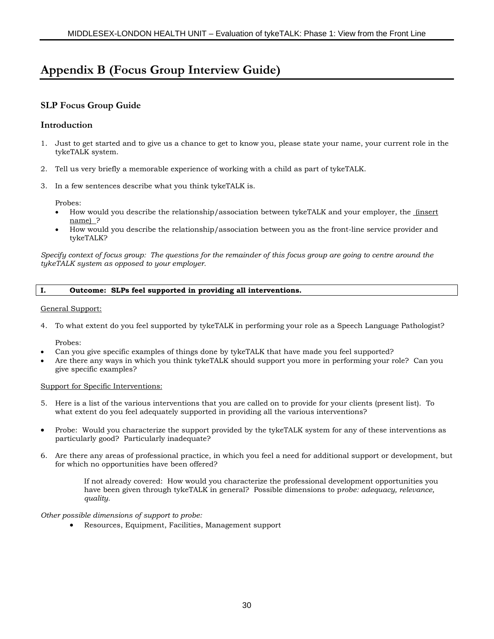## **Appendix B (Focus Group Interview Guide)**

### **SLP Focus Group Guide**

#### **Introduction**

- 1. Just to get started and to give us a chance to get to know you, please state your name, your current role in the tykeTALK system.
- 2. Tell us very briefly a memorable experience of working with a child as part of tykeTALK.
- 3. In a few sentences describe what you think tykeTALK is.

Probes:

- How would you describe the relationship/association between tykeTALK and your employer, the (insert name) ?
- How would you describe the relationship/association between you as the front-line service provider and tykeTALK?

*Specify context of focus group: The questions for the remainder of this focus group are going to centre around the tykeTALK system as opposed to your employer.*

#### **I. Outcome: SLPs feel supported in providing all interventions.**

General Support:

4. To what extent do you feel supported by tykeTALK in performing your role as a Speech Language Pathologist?

Probes:

- Can you give specific examples of things done by tykeTALK that have made you feel supported?
- Are there any ways in which you think tykeTALK should support you more in performing your role? Can you give specific examples?

#### Support for Specific Interventions:

- 5. Here is a list of the various interventions that you are called on to provide for your clients (present list). To what extent do you feel adequately supported in providing all the various interventions?
- Probe: Would you characterize the support provided by the tykeTALK system for any of these interventions as particularly good? Particularly inadequate?
- 6. Are there any areas of professional practice, in which you feel a need for additional support or development, but for which no opportunities have been offered?

If not already covered: How would you characterize the professional development opportunities you have been given through tykeTALK in general? Possible dimensions to p*robe: adequacy, relevance, quality.*

*Other possible dimensions of support to probe:*

• Resources, Equipment, Facilities, Management support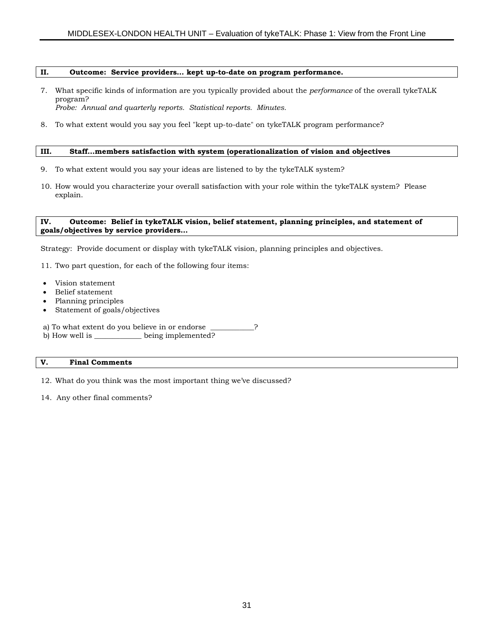#### **II. Outcome: Service providers… kept up-to-date on program performance.**

- 7. What specific kinds of information are you typically provided about the *performance* of the overall tykeTALK program? *Probe: Annual and quarterly reports. Statistical reports. Minutes.*
- 8. To what extent would you say you feel "kept up-to-date" on tykeTALK program performance?

#### **III. Staff…members satisfaction with system (operationalization of vision and objectives**

- 9. To what extent would you say your ideas are listened to by the tykeTALK system?
- 10. How would you characterize your overall satisfaction with your role within the tykeTALK system? Please explain.

#### **IV. Outcome: Belief in tykeTALK vision, belief statement, planning principles, and statement of goals/objectives by service providers…**

Strategy: Provide document or display with tykeTALK vision, planning principles and objectives.

- 11. Two part question, for each of the following four items:
- Vision statement
- Belief statement
- Planning principles
- Statement of goals/objectives
- a) To what extent do you believe in or endorse \_\_\_\_\_\_\_\_\_\_\_?<br>b) How well is \_\_\_\_\_\_\_\_\_\_\_\_\_ being implemented?
- b) How well is  $\blacksquare$

#### **V. Final Comments**

12. What do you think was the most important thing we've discussed?

14. Any other final comments?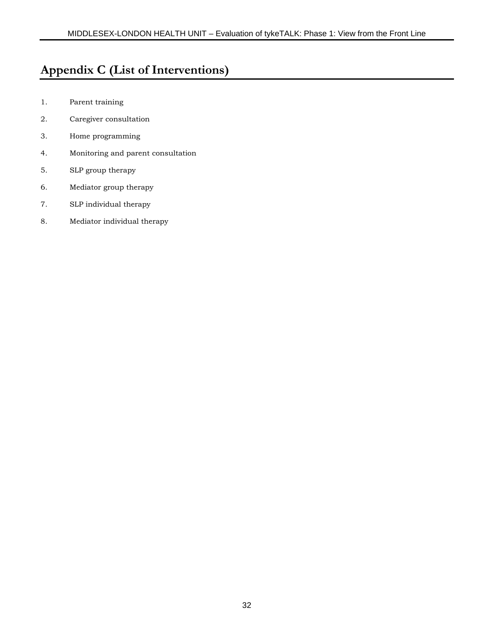# **Appendix C (List of Interventions)**

- 1. Parent training
- 2. Caregiver consultation
- 3. Home programming
- 4. Monitoring and parent consultation
- 5. SLP group therapy
- 6. Mediator group therapy
- 7. SLP individual therapy
- 8. Mediator individual therapy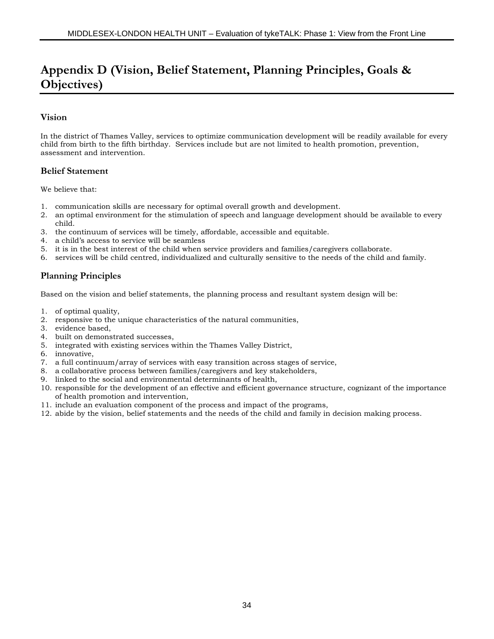# **Appendix D (Vision, Belief Statement, Planning Principles, Goals & Objectives)**

#### **Vision**

In the district of Thames Valley, services to optimize communication development will be readily available for every child from birth to the fifth birthday. Services include but are not limited to health promotion, prevention, assessment and intervention.

#### **Belief Statement**

We believe that:

- 1. communication skills are necessary for optimal overall growth and development.
- 2. an optimal environment for the stimulation of speech and language development should be available to every child.
- 3. the continuum of services will be timely, affordable, accessible and equitable.
- 4. a child's access to service will be seamless
- 5. it is in the best interest of the child when service providers and families/caregivers collaborate.
- 6. services will be child centred, individualized and culturally sensitive to the needs of the child and family.

### **Planning Principles**

Based on the vision and belief statements, the planning process and resultant system design will be:

- 1. of optimal quality,
- 2. responsive to the unique characteristics of the natural communities,
- 3. evidence based,
- 4. built on demonstrated successes,
- 5. integrated with existing services within the Thames Valley District,
- 6. innovative,
- 7. a full continuum/array of services with easy transition across stages of service,
- 8. a collaborative process between families/caregivers and key stakeholders,
- 9. linked to the social and environmental determinants of health,
- 10. responsible for the development of an effective and efficient governance structure, cognizant of the importance of health promotion and intervention,
- 11. include an evaluation component of the process and impact of the programs,
- 12. abide by the vision, belief statements and the needs of the child and family in decision making process.